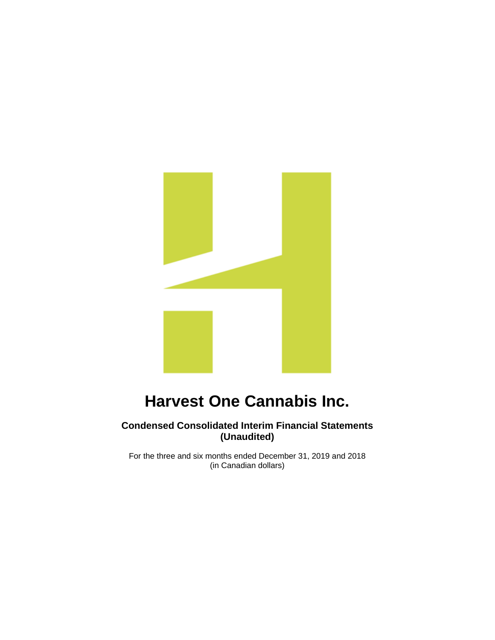

### **Condensed Consolidated Interim Financial Statements (Unaudited)**

For the three and six months ended December 31, 2019 and 2018 (in Canadian dollars)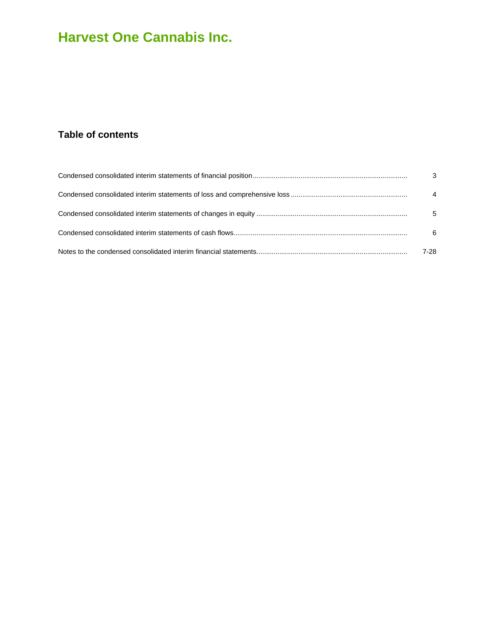## **Table of contents**

| $\mathbf{3}$   |
|----------------|
| $\overline{4}$ |
| 5              |
| 6              |
| 7-28           |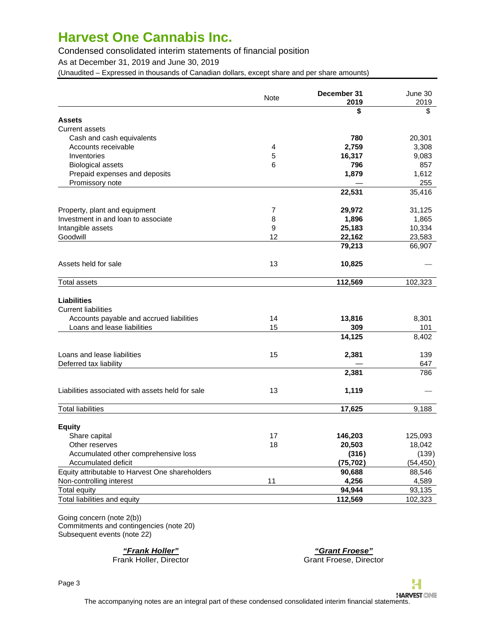Condensed consolidated interim statements of financial position

As at December 31, 2019 and June 30, 2019

(Unaudited – Expressed in thousands of Canadian dollars, except share and per share amounts)

|                                                  | <b>Note</b>    | December 31<br>2019 | June 30<br>2019 |
|--------------------------------------------------|----------------|---------------------|-----------------|
|                                                  |                | \$                  | \$              |
| <b>Assets</b>                                    |                |                     |                 |
| <b>Current assets</b>                            |                |                     |                 |
| Cash and cash equivalents                        |                | 780                 | 20,301          |
| Accounts receivable                              | 4              | 2,759               | 3,308           |
| Inventories                                      | 5              | 16,317              | 9,083           |
| <b>Biological assets</b>                         | 6              | 796                 | 857             |
| Prepaid expenses and deposits                    |                | 1,879               | 1,612           |
| Promissory note                                  |                |                     | 255             |
|                                                  |                | 22,531              | 35,416          |
| Property, plant and equipment                    | $\overline{7}$ | 29,972              | 31,125          |
| Investment in and loan to associate              | 8              | 1,896               | 1,865           |
| Intangible assets                                | 9              | 25,183              | 10,334          |
| Goodwill                                         | 12             | 22,162              | 23,583          |
|                                                  |                | 79,213              | 66,907          |
| Assets held for sale                             | 13             | 10,825              |                 |
| <b>Total assets</b>                              |                | 112,569             | 102,323         |
| <b>Liabilities</b>                               |                |                     |                 |
| <b>Current liabilities</b>                       |                |                     |                 |
| Accounts payable and accrued liabilities         | 14             | 13,816              | 8,301           |
| Loans and lease liabilities                      | 15             | 309                 | 101             |
|                                                  |                | 14,125              | 8,402           |
| Loans and lease liabilities                      | 15             | 2,381               | 139             |
| Deferred tax liability                           |                |                     | 647             |
|                                                  |                | 2,381               | 786             |
| Liabilities associated with assets held for sale | 13             | 1,119               |                 |
| <b>Total liabilities</b>                         |                | 17,625              | 9,188           |
| <b>Equity</b>                                    |                |                     |                 |
| Share capital                                    | 17             | 146,203             | 125,093         |
| Other reserves                                   | 18             | 20,503              | 18,042          |
| Accumulated other comprehensive loss             |                | (316)               | (139)           |
| Accumulated deficit                              |                | (75, 702)           | (54, 450)       |
| Equity attributable to Harvest One shareholders  |                | 90,688              | 88,546          |
| Non-controlling interest                         | 11             | 4,256               | 4,589           |
| <b>Total equity</b>                              |                | 94,944              | 93,135          |
| Total liabilities and equity                     |                | 112,569             | 102,323         |

Going concern (note 2(b)) Commitments and contingencies (note 20) Subsequent events (note 22)

**"Frank Holler" "Grant Froese"** Grant Froese, Director

Page 3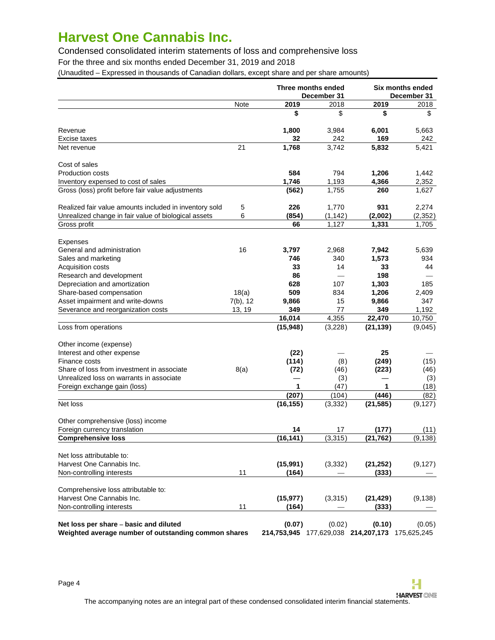Condensed consolidated interim statements of loss and comprehensive loss

For the three and six months ended December 31, 2019 and 2018

(Unaudited – Expressed in thousands of Canadian dollars, except share and per share amounts)

|                                                                                                |             | Three months ended<br>December 31 |                 |                                               | Six months ended<br>December 31 |
|------------------------------------------------------------------------------------------------|-------------|-----------------------------------|-----------------|-----------------------------------------------|---------------------------------|
|                                                                                                | Note        | 2019                              | 2018            | 2019                                          | 2018                            |
|                                                                                                |             | \$                                | \$              | \$                                            | \$                              |
| Revenue                                                                                        |             | 1,800                             | 3,984           | 6,001                                         | 5,663                           |
| Excise taxes                                                                                   |             | 32                                | 242             | 169                                           | 242                             |
| Net revenue                                                                                    | 21          | 1,768                             | 3,742           | 5,832                                         | 5,421                           |
| Cost of sales                                                                                  |             |                                   |                 |                                               |                                 |
| <b>Production costs</b>                                                                        |             | 584                               | 794             | 1,206                                         | 1,442                           |
| Inventory expensed to cost of sales                                                            |             | 1,746                             | 1,193           | 4,366                                         | 2,352                           |
| Gross (loss) profit before fair value adjustments                                              |             | (562)                             | 1,755           | 260                                           | 1,627                           |
| Realized fair value amounts included in inventory sold                                         | 5           | 226                               | 1,770           | 931                                           | 2,274                           |
| Unrealized change in fair value of biological assets                                           | 6           | (854)                             | (1, 142)        | (2,002)                                       | (2, 352)                        |
| Gross profit                                                                                   |             | 66                                | 1,127           | 1,331                                         | 1,705                           |
| Expenses                                                                                       |             |                                   |                 |                                               |                                 |
| General and administration                                                                     | 16          | 3,797                             | 2,968           | 7,942                                         | 5,639                           |
| Sales and marketing                                                                            |             | 746                               | 340             | 1,573                                         | 934                             |
| <b>Acquisition costs</b>                                                                       |             | 33                                | 14              | 33                                            | 44                              |
| Research and development                                                                       |             | 86                                | $\qquad \qquad$ | 198                                           |                                 |
| Depreciation and amortization                                                                  |             | 628                               | 107             | 1,303                                         | 185                             |
| Share-based compensation                                                                       | 18(a)       | 509                               | 834             | 1,206                                         | 2,409                           |
| Asset impairment and write-downs                                                               | $7(b)$ , 12 | 9,866                             | 15              | 9,866                                         | 347                             |
| Severance and reorganization costs                                                             | 13, 19      | 349                               | 77              | 349                                           | 1,192                           |
|                                                                                                |             | 16,014                            | 4,355           | 22,470                                        | 10,750                          |
| Loss from operations                                                                           |             | (15, 948)                         | (3,228)         | (21, 139)                                     | (9,045)                         |
| Other income (expense)                                                                         |             |                                   |                 |                                               |                                 |
| Interest and other expense                                                                     |             | (22)                              |                 | 25                                            |                                 |
| Finance costs                                                                                  |             | (114)                             | (8)             | (249)                                         | (15)                            |
| Share of loss from investment in associate                                                     | 8(a)        | (72)                              | (46)            | (223)                                         | (46)                            |
| Unrealized loss on warrants in associate                                                       |             |                                   | (3)             |                                               | (3)                             |
| Foreign exchange gain (loss)                                                                   |             | 1                                 | (47)            | 1                                             | (18)                            |
|                                                                                                |             | (207)                             | (104)           | (446)                                         | (82)                            |
| Net loss                                                                                       |             | (16, 155)                         | (3, 332)        | (21, 585)                                     | (9, 127)                        |
| Other comprehensive (loss) income                                                              |             |                                   |                 |                                               |                                 |
| Foreign currency translation                                                                   |             | 14                                | 17              | (177)                                         | (11)                            |
| <b>Comprehensive loss</b>                                                                      |             | (16, 141)                         | (3, 315)        | (21, 762)                                     | (9, 138)                        |
| Net loss attributable to:                                                                      |             |                                   |                 |                                               |                                 |
| Harvest One Cannabis Inc.                                                                      |             | (15,991)                          | (3, 332)        | (21, 252)                                     | (9, 127)                        |
| Non-controlling interests                                                                      | 11          | (164)                             |                 | (333)                                         |                                 |
| Comprehensive loss attributable to:                                                            |             |                                   |                 |                                               |                                 |
| Harvest One Cannabis Inc.                                                                      |             | (15, 977)                         | (3,315)         | (21, 429)                                     | (9, 138)                        |
| Non-controlling interests                                                                      | 11          | (164)                             |                 | (333)                                         |                                 |
| Net loss per share – basic and diluted<br>Weighted average number of outstanding common shares |             | (0.07)<br>214,753,945             | (0.02)          | (0.10)<br>177,629,038 214,207,173 175,625,245 | (0.05)                          |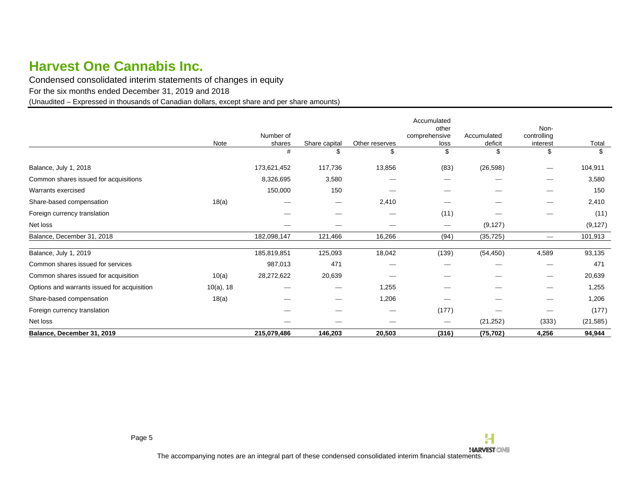Condensed consolidated interim statements of changes in equity

For the six months ended December 31, 2019 and 2018

(Unaudited – Expressed in thousands of Canadian dollars, except share and per share amounts)

<span id="page-4-0"></span>

|                                             | Note         | Number of<br>shares | Share capital                                                                                                                                                                                                                                                                                                                                                                         | Other reserves | Accumulated<br>other<br>comprehensive<br>loss | Accumulated<br>deficit | Non-<br>controlling<br>interest | Total     |
|---------------------------------------------|--------------|---------------------|---------------------------------------------------------------------------------------------------------------------------------------------------------------------------------------------------------------------------------------------------------------------------------------------------------------------------------------------------------------------------------------|----------------|-----------------------------------------------|------------------------|---------------------------------|-----------|
|                                             |              | #                   | \$                                                                                                                                                                                                                                                                                                                                                                                    | \$             | \$                                            | \$                     | \$                              | \$        |
| Balance, July 1, 2018                       |              | 173,621,452         | 117,736                                                                                                                                                                                                                                                                                                                                                                               | 13,856         | (83)                                          | (26, 598)              |                                 | 104,911   |
| Common shares issued for acquisitions       |              | 8,326,695           | 3,580                                                                                                                                                                                                                                                                                                                                                                                 |                |                                               |                        |                                 | 3,580     |
| Warrants exercised                          |              | 150,000             | 150                                                                                                                                                                                                                                                                                                                                                                                   |                | --                                            |                        |                                 | 150       |
| Share-based compensation                    | 18(a)        |                     | $\hspace{1.0cm} \overline{\hspace{1.0cm} \hspace{1.0cm} \hspace{1.0cm} \hspace{1.0cm} } \hspace{1.0cm} \hspace{1.0cm} \hspace{1.0cm} \hspace{1.0cm} \hspace{1.0cm} \hspace{1.0cm} \hspace{1.0cm} \hspace{1.0cm} \hspace{1.0cm} \hspace{1.0cm} \hspace{1.0cm} \hspace{1.0cm} \hspace{1.0cm} \hspace{1.0cm} \hspace{1.0cm} \hspace{1.0cm} \hspace{1.0cm} \hspace{1.0cm} \hspace{1.0cm}$ | 2,410          |                                               |                        | $\overline{\phantom{0}}$        | 2,410     |
| Foreign currency translation                |              |                     |                                                                                                                                                                                                                                                                                                                                                                                       |                | (11)                                          |                        |                                 | (11)      |
| Net loss                                    |              |                     |                                                                                                                                                                                                                                                                                                                                                                                       |                | $\qquad \qquad$                               | (9, 127)               |                                 | (9, 127)  |
| Balance, December 31, 2018                  |              | 182,098,147         | 121,466                                                                                                                                                                                                                                                                                                                                                                               | 16,266         | (94)                                          | (35, 725)              | $\overline{\phantom{0}}$        | 101,913   |
| Balance, July 1, 2019                       |              | 185,819,851         | 125,093                                                                                                                                                                                                                                                                                                                                                                               | 18,042         | (139)                                         | (54, 450)              | 4,589                           | 93,135    |
| Common shares issued for services           |              | 987,013             | 471                                                                                                                                                                                                                                                                                                                                                                                   |                |                                               |                        |                                 | 471       |
| Common shares issued for acquisition        | 10(a)        | 28,272,622          | 20,639                                                                                                                                                                                                                                                                                                                                                                                |                |                                               |                        | $\overline{\phantom{0}}$        | 20,639    |
| Options and warrants issued for acquisition | $10(a)$ , 18 |                     |                                                                                                                                                                                                                                                                                                                                                                                       | 1,255          |                                               |                        |                                 | 1,255     |
| Share-based compensation                    | 18(a)        |                     | $\overline{\phantom{a}}$                                                                                                                                                                                                                                                                                                                                                              | 1,206          |                                               |                        |                                 | 1,206     |
| Foreign currency translation                |              |                     |                                                                                                                                                                                                                                                                                                                                                                                       |                | (177)                                         |                        |                                 | (177)     |
| Net loss                                    |              |                     |                                                                                                                                                                                                                                                                                                                                                                                       |                | $\hspace{0.1mm}-\hspace{0.1mm}$               | (21, 252)              | (333)                           | (21, 585) |
| Balance, December 31, 2019                  |              | 215,079,486         | 146,203                                                                                                                                                                                                                                                                                                                                                                               | 20,503         | (316)                                         | (75, 702)              | 4,256                           | 94,944    |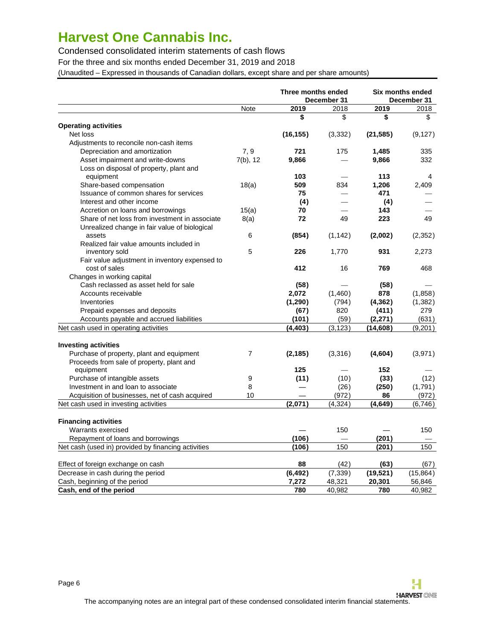Condensed consolidated interim statements of cash flows

For the three and six months ended December 31, 2019 and 2018

(Unaudited – Expressed in thousands of Canadian dollars, except share and per share amounts)

<span id="page-5-0"></span>

|                                                     |                | Three months ended<br>December 31 |                          |           | Six months ended<br>December 31 |
|-----------------------------------------------------|----------------|-----------------------------------|--------------------------|-----------|---------------------------------|
|                                                     | Note           | 2019                              | 2018                     | 2019      | 2018                            |
|                                                     |                | \$                                | \$                       | \$        | \$                              |
| <b>Operating activities</b>                         |                |                                   |                          |           |                                 |
| Net loss                                            |                | (16, 155)                         | (3,332)                  | (21, 585) | (9, 127)                        |
| Adjustments to reconcile non-cash items             |                |                                   |                          |           |                                 |
| Depreciation and amortization                       | 7.9            | 721                               | 175                      | 1,485     | 335                             |
| Asset impairment and write-downs                    | $7(b)$ , 12    | 9,866                             |                          | 9,866     | 332                             |
| Loss on disposal of property, plant and             |                |                                   |                          |           |                                 |
| equipment                                           |                | 103                               |                          | 113       | 4                               |
| Share-based compensation                            | 18(a)          | 509                               | 834                      | 1,206     | 2,409                           |
| Issuance of common shares for services              |                | 75                                |                          | 471       |                                 |
| Interest and other income                           |                | (4)                               |                          | (4)       |                                 |
| Accretion on loans and borrowings                   | 15(a)          | 70                                |                          | 143       |                                 |
| Share of net loss from investment in associate      | 8(a)           | 72                                | 49                       | 223       | 49                              |
| Unrealized change in fair value of biological       |                |                                   |                          |           |                                 |
| assets                                              | 6              | (854)                             | (1, 142)                 | (2,002)   | (2,352)                         |
| Realized fair value amounts included in             |                |                                   |                          |           |                                 |
| inventory sold                                      | 5              | 226                               | 1,770                    | 931       | 2,273                           |
| Fair value adjustment in inventory expensed to      |                |                                   |                          |           |                                 |
| cost of sales                                       |                | 412                               | 16                       | 769       | 468                             |
| Changes in working capital                          |                |                                   |                          |           |                                 |
| Cash reclassed as asset held for sale               |                | (58)                              |                          | (58)      |                                 |
| Accounts receivable                                 |                | 2,072                             | (1,460)                  | 878       | (1,858)                         |
| Inventories                                         |                | (1,290)                           | (794)                    | (4, 362)  | (1,382)                         |
| Prepaid expenses and deposits                       |                | (67)                              | 820                      | (411)     | 279                             |
| Accounts payable and accrued liabilities            |                | (101)                             | (59)                     | (2,271)   | (631)                           |
| Net cash used in operating activities               |                | (4, 403)                          | (3, 123)                 | (14,608)  | (9,201)                         |
|                                                     |                |                                   |                          |           |                                 |
| <b>Investing activities</b>                         |                |                                   |                          |           |                                 |
| Purchase of property, plant and equipment           | $\overline{7}$ | (2, 185)                          | (3,316)                  | (4,604)   | (3,971)                         |
| Proceeds from sale of property, plant and           |                |                                   |                          |           |                                 |
| equipment                                           |                | 125                               | $\overline{\phantom{0}}$ | 152       |                                 |
| Purchase of intangible assets                       | 9              | (11)                              | (10)                     | (33)      | (12)                            |
| Investment in and loan to associate                 | 8              |                                   | (26)                     | (250)     | (1,791)                         |
| Acquisition of businesses, net of cash acquired     | 10             |                                   | (972)                    | 86        | (972)                           |
| Net cash used in investing activities               |                | (2,071)                           | (4, 324)                 | (4, 649)  | (6,746)                         |
| <b>Financing activities</b>                         |                |                                   |                          |           |                                 |
| Warrants exercised                                  |                |                                   | 150                      |           | 150                             |
| Repayment of loans and borrowings                   |                | (106)                             |                          | (201)     |                                 |
| Net cash (used in) provided by financing activities |                | (106)                             | 150                      | (201)     | 150                             |
|                                                     |                |                                   |                          |           |                                 |
| Effect of foreign exchange on cash                  |                | 88                                | (42)                     | (63)      | (67)                            |
| Decrease in cash during the period                  |                | (6, 492)                          | (7, 339)                 | (19, 521) | (15, 864)                       |
| Cash, beginning of the period                       |                | 7,272                             | 48,321                   | 20,301    | 56,846                          |
| Cash, end of the period                             |                | 780                               | 40,982                   | 780       | 40,982                          |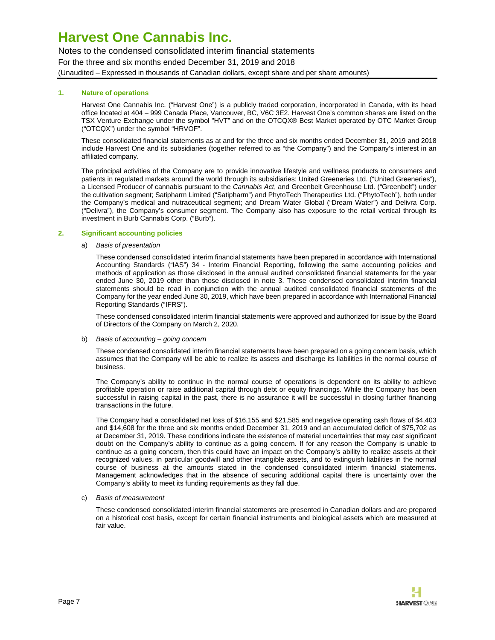Notes to the condensed consolidated interim financial statements For the three and six months ended December 31, 2019 and 2018 (Unaudited – Expressed in thousands of Canadian dollars, except share and per share amounts)

### **1. Nature of operations**

<span id="page-6-0"></span>Harvest One Cannabis Inc. ("Harvest One") is a publicly traded corporation, incorporated in Canada, with its head office located at 404 – 999 Canada Place, Vancouver, BC, V6C 3E2. Harvest One's common shares are listed on the TSX Venture Exchange under the symbol "HVT" and on the OTCQX® Best Market operated by OTC Market Group ("OTCQX") under the symbol "HRVOF".

These consolidated financial statements as at and for the three and six months ended December 31, 2019 and 2018 include Harvest One and its subsidiaries (together referred to as "the Company") and the Company's interest in an affiliated company.

The principal activities of the Company are to provide innovative lifestyle and wellness products to consumers and patients in regulated markets around the world through its subsidiaries: United Greeneries Ltd. ("United Greeneries"), a Licensed Producer of cannabis pursuant to the Cannabis Act, and Greenbelt Greenhouse Ltd. ("Greenbelt") under the cultivation segment; Satipharm Limited ("Satipharm") and PhytoTech Therapeutics Ltd. ("PhytoTech"), both under the Company's medical and nutraceutical segment; and Dream Water Global ("Dream Water") and Delivra Corp. ("Delivra"), the Company's consumer segment. The Company also has exposure to the retail vertical through its investment in Burb Cannabis Corp. ("Burb").

#### **2. Significant accounting policies**

a) Basis of presentation

These condensed consolidated interim financial statements have been prepared in accordance with International Accounting Standards ("IAS") 34 - Interim Financial Reporting, following the same accounting policies and methods of application as those disclosed in the annual audited consolidated financial statements for the year ended June 30, 2019 other than those disclosed in note 3. These condensed consolidated interim financial statements should be read in conjunction with the annual audited consolidated financial statements of the Company for the year ended June 30, 2019, which have been prepared in accordance with International Financial Reporting Standards ("IFRS").

These condensed consolidated interim financial statements were approved and authorized for issue by the Board of Directors of the Company on March 2, 2020.

b) Basis of accounting – going concern

These condensed consolidated interim financial statements have been prepared on a going concern basis, which assumes that the Company will be able to realize its assets and discharge its liabilities in the normal course of business.

The Company's ability to continue in the normal course of operations is dependent on its ability to achieve profitable operation or raise additional capital through debt or equity financings. While the Company has been successful in raising capital in the past, there is no assurance it will be successful in closing further financing transactions in the future.

The Company had a consolidated net loss of \$16,155 and \$21,585 and negative operating cash flows of \$4,403 and \$14,608 for the three and six months ended December 31, 2019 and an accumulated deficit of \$75,702 as at December 31, 2019. These conditions indicate the existence of material uncertainties that may cast significant doubt on the Company's ability to continue as a going concern. If for any reason the Company is unable to continue as a going concern, then this could have an impact on the Company's ability to realize assets at their recognized values, in particular goodwill and other intangible assets, and to extinguish liabilities in the normal course of business at the amounts stated in the condensed consolidated interim financial statements. Management acknowledges that in the absence of securing additional capital there is uncertainty over the Company's ability to meet its funding requirements as they fall due.

c) Basis of measurement

These condensed consolidated interim financial statements are presented in Canadian dollars and are prepared on a historical cost basis, except for certain financial instruments and biological assets which are measured at fair value.

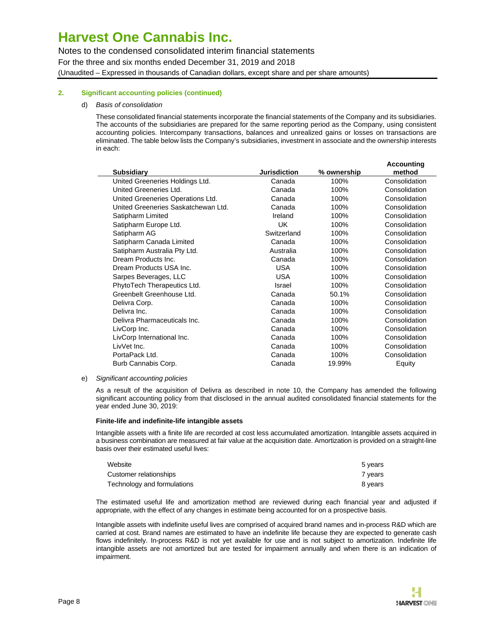Notes to the condensed consolidated interim financial statements For the three and six months ended December 31, 2019 and 2018 (Unaudited – Expressed in thousands of Canadian dollars, except share and per share amounts)

### **2. Significant accounting policies (continued)**

#### d) Basis of consolidation

These consolidated financial statements incorporate the financial statements of the Company and its subsidiaries. The accounts of the subsidiaries are prepared for the same reporting period as the Company, using consistent accounting policies. Intercompany transactions, balances and unrealized gains or losses on transactions are eliminated. The table below lists the Company's subsidiaries, investment in associate and the ownership interests in each:

|                                     |                     |             | Accounting    |
|-------------------------------------|---------------------|-------------|---------------|
| <b>Subsidiary</b>                   | <b>Jurisdiction</b> | % ownership | method        |
| United Greeneries Holdings Ltd.     | Canada              | 100%        | Consolidation |
| United Greeneries Ltd.              | Canada              | 100%        | Consolidation |
| United Greeneries Operations Ltd.   | Canada              | 100%        | Consolidation |
| United Greeneries Saskatchewan Ltd. | Canada              | 100%        | Consolidation |
| Satipharm Limited                   | Ireland             | 100%        | Consolidation |
| Satipharm Europe Ltd.               | UK                  | 100%        | Consolidation |
| Satipharm AG                        | Switzerland         | 100%        | Consolidation |
| Satipharm Canada Limited            | Canada              | 100%        | Consolidation |
| Satipharm Australia Pty Ltd.        | Australia           | 100%        | Consolidation |
| Dream Products Inc.                 | Canada              | 100%        | Consolidation |
| Dream Products USA Inc.             | <b>USA</b>          | 100%        | Consolidation |
| Sarpes Beverages, LLC               | USA.                | 100%        | Consolidation |
| PhytoTech Therapeutics Ltd.         | Israel              | 100%        | Consolidation |
| Greenbelt Greenhouse Ltd.           | Canada              | 50.1%       | Consolidation |
| Delivra Corp.                       | Canada              | 100%        | Consolidation |
| Delivra Inc.                        | Canada              | 100%        | Consolidation |
| Delivra Pharmaceuticals Inc.        | Canada              | 100%        | Consolidation |
| LivCorp Inc.                        | Canada              | 100%        | Consolidation |
| LivCorp International Inc.          | Canada              | 100%        | Consolidation |
| LivVet Inc.                         | Canada              | 100%        | Consolidation |
| PortaPack Ltd.                      | Canada              | 100%        | Consolidation |
| Burb Cannabis Corp.                 | Canada              | 19.99%      | Equity        |
|                                     |                     |             |               |

#### e) Significant accounting policies

As a result of the acquisition of Delivra as described in note 10, the Company has amended the following significant accounting policy from that disclosed in the annual audited consolidated financial statements for the year ended June 30, 2019:

#### **Finite-life and indefinite-life intangible assets**

Intangible assets with a finite life are recorded at cost less accumulated amortization. Intangible assets acquired in a business combination are measured at fair value at the acquisition date. Amortization is provided on a straight-line basis over their estimated useful lives:

| Website                     | 5 years |
|-----------------------------|---------|
| Customer relationships      | 7 vears |
| Technology and formulations | 8 years |

The estimated useful life and amortization method are reviewed during each financial year and adjusted if appropriate, with the effect of any changes in estimate being accounted for on a prospective basis.

Intangible assets with indefinite useful lives are comprised of acquired brand names and in-process R&D which are carried at cost. Brand names are estimated to have an indefinite life because they are expected to generate cash flows indefinitely. In-process R&D is not yet available for use and is not subject to amortization. Indefinite life intangible assets are not amortized but are tested for impairment annually and when there is an indication of impairment.

**Accounting**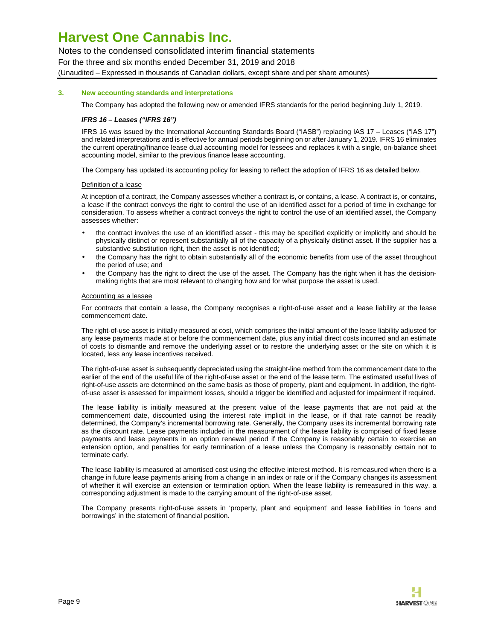Notes to the condensed consolidated interim financial statements For the three and six months ended December 31, 2019 and 2018 (Unaudited – Expressed in thousands of Canadian dollars, except share and per share amounts)

#### **3. New accounting standards and interpretations**

The Company has adopted the following new or amended IFRS standards for the period beginning July 1, 2019.

### **IFRS 16 – Leases ("IFRS 16")**

IFRS 16 was issued by the International Accounting Standards Board ("IASB") replacing IAS 17 – Leases ("IAS 17") and related interpretations and is effective for annual periods beginning on or after January 1, 2019. IFRS 16 eliminates the current operating/finance lease dual accounting model for lessees and replaces it with a single, on-balance sheet accounting model, similar to the previous finance lease accounting.

The Company has updated its accounting policy for leasing to reflect the adoption of IFRS 16 as detailed below.

#### Definition of a lease

At inception of a contract, the Company assesses whether a contract is, or contains, a lease. A contract is, or contains, a lease if the contract conveys the right to control the use of an identified asset for a period of time in exchange for consideration. To assess whether a contract conveys the right to control the use of an identified asset, the Company assesses whether:

- the contract involves the use of an identified asset this may be specified explicitly or implicitly and should be physically distinct or represent substantially all of the capacity of a physically distinct asset. If the supplier has a substantive substitution right, then the asset is not identified;
- the Company has the right to obtain substantially all of the economic benefits from use of the asset throughout the period of use; and
- the Company has the right to direct the use of the asset. The Company has the right when it has the decisionmaking rights that are most relevant to changing how and for what purpose the asset is used.

#### Accounting as a lessee

For contracts that contain a lease, the Company recognises a right-of-use asset and a lease liability at the lease commencement date.

The right-of-use asset is initially measured at cost, which comprises the initial amount of the lease liability adjusted for any lease payments made at or before the commencement date, plus any initial direct costs incurred and an estimate of costs to dismantle and remove the underlying asset or to restore the underlying asset or the site on which it is located, less any lease incentives received.

The right-of-use asset is subsequently depreciated using the straight-line method from the commencement date to the earlier of the end of the useful life of the right-of-use asset or the end of the lease term. The estimated useful lives of right-of-use assets are determined on the same basis as those of property, plant and equipment. In addition, the rightof-use asset is assessed for impairment losses, should a trigger be identified and adjusted for impairment if required.

The lease liability is initially measured at the present value of the lease payments that are not paid at the commencement date, discounted using the interest rate implicit in the lease, or if that rate cannot be readily determined, the Company's incremental borrowing rate. Generally, the Company uses its incremental borrowing rate as the discount rate. Lease payments included in the measurement of the lease liability is comprised of fixed lease payments and lease payments in an option renewal period if the Company is reasonably certain to exercise an extension option, and penalties for early termination of a lease unless the Company is reasonably certain not to terminate early.

The lease liability is measured at amortised cost using the effective interest method. It is remeasured when there is a change in future lease payments arising from a change in an index or rate or if the Company changes its assessment of whether it will exercise an extension or termination option. When the lease liability is remeasured in this way, a corresponding adjustment is made to the carrying amount of the right-of-use asset.

The Company presents right-of-use assets in 'property, plant and equipment' and lease liabilities in 'loans and borrowings' in the statement of financial position.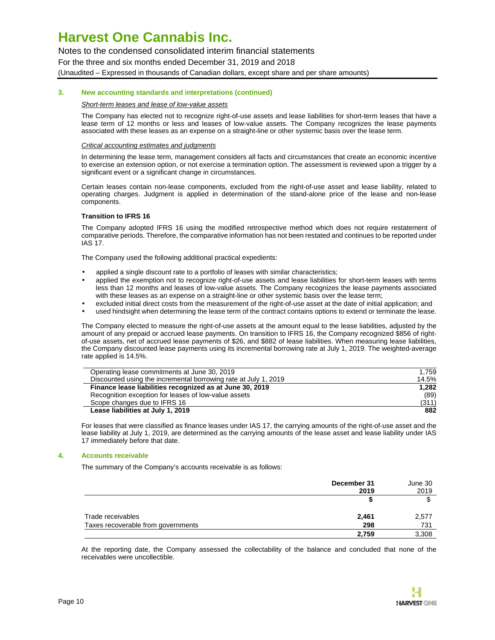Notes to the condensed consolidated interim financial statements For the three and six months ended December 31, 2019 and 2018 (Unaudited – Expressed in thousands of Canadian dollars, except share and per share amounts)

#### **3. New accounting standards and interpretations (continued)**

#### Short-term leases and lease of low-value assets

The Company has elected not to recognize right-of-use assets and lease liabilities for short-term leases that have a lease term of 12 months or less and leases of low-value assets. The Company recognizes the lease payments associated with these leases as an expense on a straight-line or other systemic basis over the lease term.

#### Critical accounting estimates and judgments

In determining the lease term, management considers all facts and circumstances that create an economic incentive to exercise an extension option, or not exercise a termination option. The assessment is reviewed upon a trigger by a significant event or a significant change in circumstances.

Certain leases contain non-lease components, excluded from the right-of-use asset and lease liability, related to operating charges. Judgment is applied in determination of the stand-alone price of the lease and non-lease components.

#### **Transition to IFRS 16**

The Company adopted IFRS 16 using the modified retrospective method which does not require restatement of comparative periods. Therefore, the comparative information has not been restated and continues to be reported under IAS 17.

The Company used the following additional practical expedients:

- applied a single discount rate to a portfolio of leases with similar characteristics;
- applied the exemption not to recognize right-of-use assets and lease liabilities for short-term leases with terms less than 12 months and leases of low-value assets. The Company recognizes the lease payments associated with these leases as an expense on a straight-line or other systemic basis over the lease term;
- excluded initial direct costs from the measurement of the right-of-use asset at the date of initial application; and
- used hindsight when determining the lease term of the contract contains options to extend or terminate the lease.

The Company elected to measure the right-of-use assets at the amount equal to the lease liabilities, adjusted by the amount of any prepaid or accrued lease payments. On transition to IFRS 16, the Company recognized \$856 of rightof-use assets, net of accrued lease payments of \$26, and \$882 of lease liabilities. When measuring lease liabilities, the Company discounted lease payments using its incremental borrowing rate at July 1, 2019. The weighted-average rate applied is 14.5%.

| Operating lease commitments at June 30, 2019                    | 1.759 |
|-----------------------------------------------------------------|-------|
| Discounted using the incremental borrowing rate at July 1, 2019 | 14.5% |
| Finance lease liabilities recognized as at June 30, 2019        | 1.282 |
| Recognition exception for leases of low-value assets            | (89)  |
| Scope changes due to IFRS 16                                    | (311) |
| Lease liabilities at July 1, 2019                               | 882   |

For leases that were classified as finance leases under IAS 17, the carrying amounts of the right-of-use asset and the lease liability at July 1, 2019, are determined as the carrying amounts of the lease asset and lease liability under IAS 17 immediately before that date.

#### **4. Accounts receivable**

The summary of the Company's accounts receivable is as follows:

|                                    | December 31<br>2019 | June 30<br>2019 |
|------------------------------------|---------------------|-----------------|
|                                    |                     |                 |
| Trade receivables                  | 2,461               | 2,577           |
| Taxes recoverable from governments | 298                 | 731             |
|                                    | 2,759               | 3,308           |

At the reporting date, the Company assessed the collectability of the balance and concluded that none of the receivables were uncollectible.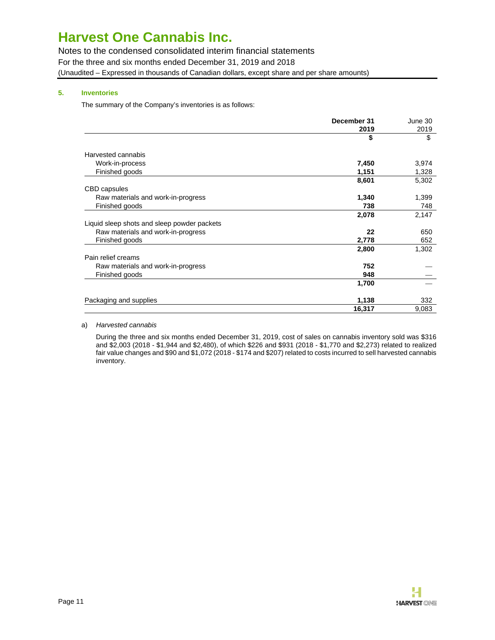Notes to the condensed consolidated interim financial statements For the three and six months ended December 31, 2019 and 2018 (Unaudited – Expressed in thousands of Canadian dollars, except share and per share amounts)

### **5. Inventories**

The summary of the Company's inventories is as follows:

|                                             | December 31 | June 30 |
|---------------------------------------------|-------------|---------|
|                                             | 2019        | 2019    |
|                                             | \$          | \$      |
| Harvested cannabis                          |             |         |
| Work-in-process                             | 7,450       | 3,974   |
| Finished goods                              | 1,151       | 1,328   |
|                                             | 8,601       | 5,302   |
| <b>CBD</b> capsules                         |             |         |
| Raw materials and work-in-progress          | 1,340       | 1,399   |
| Finished goods                              | 738         | 748     |
|                                             | 2,078       | 2,147   |
| Liquid sleep shots and sleep powder packets |             |         |
| Raw materials and work-in-progress          | 22          | 650     |
| Finished goods                              | 2,778       | 652     |
|                                             | 2,800       | 1,302   |
| Pain relief creams                          |             |         |
| Raw materials and work-in-progress          | 752         |         |
| Finished goods                              | 948         |         |
|                                             | 1,700       |         |
| Packaging and supplies                      | 1,138       | 332     |
|                                             | 16,317      | 9,083   |

### a) Harvested cannabis

During the three and six months ended December 31, 2019, cost of sales on cannabis inventory sold was \$316 and \$2,003 (2018 - \$1,944 and \$2,480), of which \$226 and \$931 (2018 - \$1,770 and \$2,273) related to realized fair value changes and \$90 and \$1,072 (2018 - \$174 and \$207) related to costs incurred to sell harvested cannabis inventory.

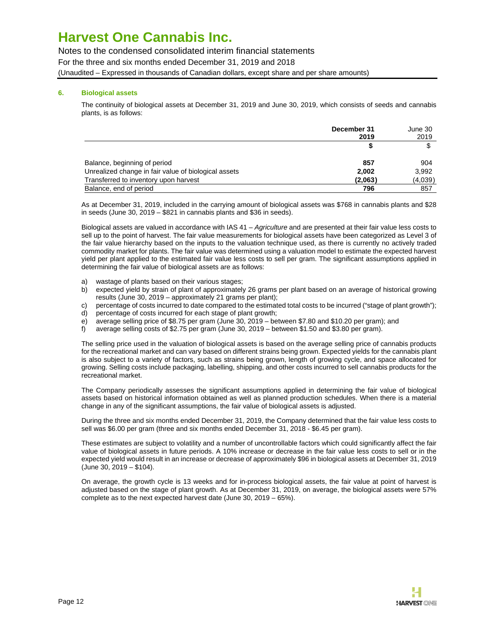Notes to the condensed consolidated interim financial statements For the three and six months ended December 31, 2019 and 2018 (Unaudited – Expressed in thousands of Canadian dollars, except share and per share amounts)

### **6. Biological assets**

The continuity of biological assets at December 31, 2019 and June 30, 2019, which consists of seeds and cannabis plants, is as follows:

|                                                      | December 31 | June 30 |
|------------------------------------------------------|-------------|---------|
|                                                      | 2019        | 2019    |
|                                                      |             |         |
| Balance, beginning of period                         | 857         | 904     |
| Unrealized change in fair value of biological assets | 2.002       | 3,992   |
| Transferred to inventory upon harvest                | (2,063)     | (4,039) |
| Balance, end of period                               | 796         | 857     |

As at December 31, 2019, included in the carrying amount of biological assets was \$768 in cannabis plants and \$28 in seeds (June 30, 2019 – \$821 in cannabis plants and \$36 in seeds).

Biological assets are valued in accordance with IAS 41 - Agriculture and are presented at their fair value less costs to sell up to the point of harvest. The fair value measurements for biological assets have been categorized as Level 3 of the fair value hierarchy based on the inputs to the valuation technique used, as there is currently no actively traded commodity market for plants. The fair value was determined using a valuation model to estimate the expected harvest yield per plant applied to the estimated fair value less costs to sell per gram. The significant assumptions applied in determining the fair value of biological assets are as follows:

- a) wastage of plants based on their various stages;
- b) expected yield by strain of plant of approximately 26 grams per plant based on an average of historical growing results (June 30, 2019 – approximately 21 grams per plant);
- c) percentage of costs incurred to date compared to the estimated total costs to be incurred ("stage of plant growth");
- d) percentage of costs incurred for each stage of plant growth;
- e) average selling price of \$8.75 per gram (June 30, 2019 between \$7.80 and \$10.20 per gram); and
- f) average selling costs of \$2.75 per gram (June 30, 2019 between \$1.50 and \$3.80 per gram).

The selling price used in the valuation of biological assets is based on the average selling price of cannabis products for the recreational market and can vary based on different strains being grown. Expected yields for the cannabis plant is also subject to a variety of factors, such as strains being grown, length of growing cycle, and space allocated for growing. Selling costs include packaging, labelling, shipping, and other costs incurred to sell cannabis products for the recreational market.

The Company periodically assesses the significant assumptions applied in determining the fair value of biological assets based on historical information obtained as well as planned production schedules. When there is a material change in any of the significant assumptions, the fair value of biological assets is adjusted.

During the three and six months ended December 31, 2019, the Company determined that the fair value less costs to sell was \$6.00 per gram (three and six months ended December 31, 2018 - \$6.45 per gram).

These estimates are subject to volatility and a number of uncontrollable factors which could significantly affect the fair value of biological assets in future periods. A 10% increase or decrease in the fair value less costs to sell or in the expected yield would result in an increase or decrease of approximately \$96 in biological assets at December 31, 2019 (June 30, 2019 – \$104).

On average, the growth cycle is 13 weeks and for in-process biological assets, the fair value at point of harvest is adjusted based on the stage of plant growth. As at December 31, 2019, on average, the biological assets were 57% complete as to the next expected harvest date (June 30, 2019 – 65%).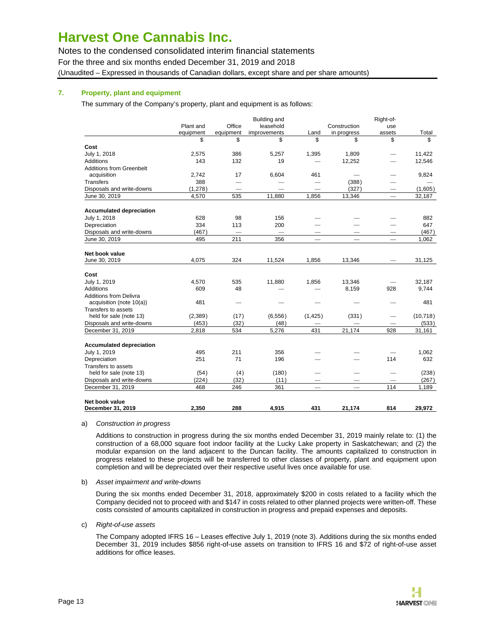Notes to the condensed consolidated interim financial statements For the three and six months ended December 31, 2019 and 2018 (Unaudited – Expressed in thousands of Canadian dollars, except share and per share amounts)

### **7. Property, plant and equipment**

The summary of the Company's property, plant and equipment is as follows:

|                                 |           |           | <b>Building and</b> |                          |                          | Right-of-                       |           |
|---------------------------------|-----------|-----------|---------------------|--------------------------|--------------------------|---------------------------------|-----------|
|                                 | Plant and | Office    | leasehold           |                          | Construction             | use                             |           |
|                                 | equipment | equipment | improvements        | Land                     | in progress              | assets                          | Total     |
|                                 | \$        | \$        | \$                  | \$                       | \$                       | \$                              | \$        |
| Cost                            |           |           |                     |                          |                          |                                 |           |
| July 1, 2018                    | 2,575     | 386       | 5,257               | 1,395                    | 1,809                    |                                 | 11,422    |
| Additions                       | 143       | 132       | 19                  |                          | 12,252                   |                                 | 12,546    |
| <b>Additions from Greenbelt</b> |           |           |                     |                          |                          |                                 |           |
| acquisition                     | 2,742     | 17        | 6,604               | 461                      |                          | -                               | 9,824     |
| Transfers                       | 388       |           |                     |                          | (388)                    |                                 |           |
| Disposals and write-downs       | (1,278)   |           |                     | $\overline{\phantom{0}}$ | (327)                    |                                 | (1,605)   |
| June 30, 2019                   | 4,570     | 535       | 11,880              | 1,856                    | 13,346                   | $\qquad \qquad -$               | 32,187    |
| <b>Accumulated depreciation</b> |           |           |                     |                          |                          |                                 |           |
| July 1, 2018                    | 628       | 98        | 156                 |                          |                          |                                 | 882       |
| Depreciation                    | 334       | 113       | 200                 |                          |                          |                                 | 647       |
| Disposals and write-downs       | (467)     |           |                     |                          |                          |                                 | (467)     |
| June 30, 2019                   | 495       | 211       | 356                 | $\overline{\phantom{m}}$ | $\overline{\phantom{m}}$ | $\overbrace{\qquad \qquad }^{}$ | 1,062     |
| Net book value                  |           |           |                     |                          |                          |                                 |           |
| June 30, 2019                   | 4,075     | 324       | 11,524              | 1,856                    | 13,346                   |                                 | 31,125    |
|                                 |           |           |                     |                          |                          |                                 |           |
| Cost                            |           |           |                     |                          |                          |                                 |           |
| July 1, 2019                    | 4,570     | 535       | 11,880              | 1,856                    | 13,346                   |                                 | 32,187    |
| Additions                       | 609       | 48        |                     |                          | 8,159                    | 928                             | 9,744     |
| <b>Additions from Delivra</b>   |           |           |                     |                          |                          |                                 |           |
| acquisition (note 10(a))        | 481       |           |                     |                          |                          |                                 | 481       |
| Transfers to assets             |           |           |                     |                          |                          |                                 |           |
| held for sale (note 13)         | (2,389)   | (17)      | (6, 556)            | (1, 425)                 | (331)                    | $\overline{\phantom{0}}$        | (10, 718) |
| Disposals and write-downs       | (453)     | (32)      | (48)                |                          |                          |                                 | (533)     |
| December 31, 2019               | 2,818     | 534       | 5,276               | 431                      | 21,174                   | 928                             | 31,161    |
| <b>Accumulated depreciation</b> |           |           |                     |                          |                          |                                 |           |
| July 1, 2019                    | 495       | 211       | 356                 |                          |                          |                                 | 1,062     |
| Depreciation                    | 251       | 71        | 196                 |                          |                          | 114                             | 632       |
| Transfers to assets             |           |           |                     |                          |                          |                                 |           |
| held for sale (note 13)         | (54)      | (4)       | (180)               |                          |                          |                                 | (238)     |
| Disposals and write-downs       | (224)     | (32)      | (11)                |                          |                          |                                 | (267)     |
| December 31, 2019               | 468       | 246       | 361                 |                          |                          | 114                             | 1,189     |
| Net book value                  |           |           |                     |                          |                          |                                 |           |
| December 31, 2019               | 2.350     | 288       | 4,915               | 431                      | 21.174                   | 814                             | 29.972    |

#### a) Construction in progress

Additions to construction in progress during the six months ended December 31, 2019 mainly relate to: (1) the construction of a 68,000 square foot indoor facility at the Lucky Lake property in Saskatchewan; and (2) the modular expansion on the land adjacent to the Duncan facility. The amounts capitalized to construction in progress related to these projects will be transferred to other classes of property, plant and equipment upon completion and will be depreciated over their respective useful lives once available for use.

#### b) Asset impairment and write-downs

During the six months ended December 31, 2018, approximately \$200 in costs related to a facility which the Company decided not to proceed with and \$147 in costs related to other planned projects were written-off. These costs consisted of amounts capitalized in construction in progress and prepaid expenses and deposits.

#### c) Right-of-use assets

The Company adopted IFRS 16 – Leases effective July 1, 2019 (note 3). Additions during the six months ended December 31, 2019 includes \$856 right-of-use assets on transition to IFRS 16 and \$72 of right-of-use asset additions for office leases.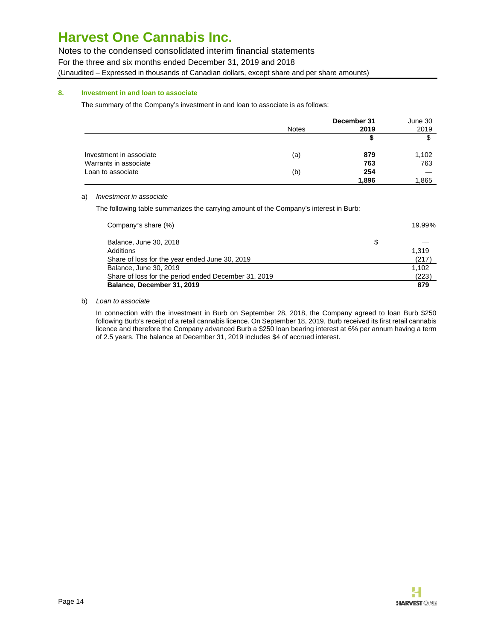Notes to the condensed consolidated interim financial statements

For the three and six months ended December 31, 2019 and 2018

(Unaudited – Expressed in thousands of Canadian dollars, except share and per share amounts)

### **8. Investment in and loan to associate**

The summary of the Company's investment in and loan to associate is as follows:

|                         |              | December 31 | June 30 |
|-------------------------|--------------|-------------|---------|
|                         | <b>Notes</b> | 2019        | 2019    |
|                         |              | S           | \$      |
| Investment in associate | (a)          | 879         | 1,102   |
| Warrants in associate   |              | 763         | 763     |
| Loan to associate       | (b)          | 254         |         |
|                         |              | 1,896       | 1,865   |

### a) Investment in associate

The following table summarizes the carrying amount of the Company's interest in Burb:

| Balance, December 31, 2019                           |   | 879    |
|------------------------------------------------------|---|--------|
| Share of loss for the period ended December 31, 2019 |   | (223)  |
| Balance, June 30, 2019                               |   | 1.102  |
| Share of loss for the year ended June 30, 2019       |   | (217)  |
| Additions                                            |   | 1.319  |
| Balance, June 30, 2018                               | S |        |
| Company's share (%)                                  |   | 19.99% |

### b) Loan to associate

In connection with the investment in Burb on September 28, 2018, the Company agreed to loan Burb \$250 following Burb's receipt of a retail cannabis licence. On September 18, 2019, Burb received its first retail cannabis licence and therefore the Company advanced Burb a \$250 loan bearing interest at 6% per annum having a term of 2.5 years. The balance at December 31, 2019 includes \$4 of accrued interest.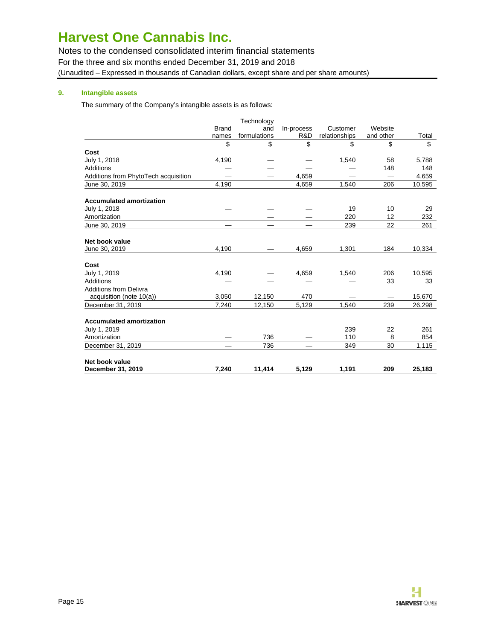Notes to the condensed consolidated interim financial statements For the three and six months ended December 31, 2019 and 2018 (Unaudited – Expressed in thousands of Canadian dollars, except share and per share amounts)

### **9. Intangible assets**

The summary of the Company's intangible assets is as follows:

|                                      |              | Technology   |            |               |           |        |
|--------------------------------------|--------------|--------------|------------|---------------|-----------|--------|
|                                      | <b>Brand</b> | and          | In-process | Customer      | Website   |        |
|                                      | names        | formulations | R&D        | relationships | and other | Total  |
|                                      | \$           | \$           | \$         | \$            | \$        | \$     |
| Cost                                 |              |              |            |               |           |        |
| July 1, 2018                         | 4,190        |              |            | 1,540         | 58        | 5,788  |
| Additions                            |              |              |            |               | 148       | 148    |
| Additions from PhytoTech acquisition |              |              | 4,659      |               |           | 4,659  |
| June 30, 2019                        | 4,190        |              | 4,659      | 1,540         | 206       | 10,595 |
| <b>Accumulated amortization</b>      |              |              |            |               |           |        |
| July 1, 2018                         |              |              |            | 19            | 10        | 29     |
| Amortization                         |              |              |            | 220           | 12        | 232    |
| June 30, 2019                        |              |              |            | 239           | 22        | 261    |
| Net book value                       |              |              |            |               |           |        |
| June 30, 2019                        | 4,190        |              | 4,659      | 1,301         | 184       | 10,334 |
| Cost                                 |              |              |            |               |           |        |
| July 1, 2019                         | 4,190        |              | 4,659      | 1,540         | 206       | 10,595 |
| Additions                            |              |              |            |               | 33        | 33     |
| <b>Additions from Delivra</b>        |              |              |            |               |           |        |
| acquisition (note 10(a))             | 3,050        | 12,150       | 470        |               |           | 15,670 |
| December 31, 2019                    | 7,240        | 12,150       | 5,129      | 1,540         | 239       | 26,298 |
| <b>Accumulated amortization</b>      |              |              |            |               |           |        |
| July 1, 2019                         |              |              |            | 239           | 22        | 261    |
| Amortization                         |              | 736          |            | 110           | 8         | 854    |
| December 31, 2019                    |              | 736          |            | 349           | 30        | 1,115  |
| Net book value                       |              |              |            |               |           |        |
| December 31, 2019                    | 7.240        | 11,414       | 5.129      | 1,191         | 209       | 25.183 |

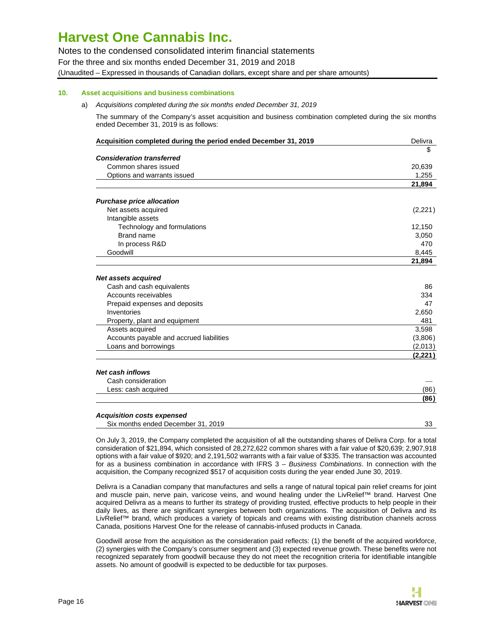Notes to the condensed consolidated interim financial statements For the three and six months ended December 31, 2019 and 2018 (Unaudited – Expressed in thousands of Canadian dollars, except share and per share amounts)

### **10. Asset acquisitions and business combinations**

a) Acquisitions completed during the six months ended December 31, 2019

The summary of the Company's asset acquisition and business combination completed during the six months ended December 31, 2019 is as follows:

| Acquisition completed during the period ended December 31, 2019 | Delivra  |
|-----------------------------------------------------------------|----------|
|                                                                 | \$       |
| <b>Consideration transferred</b>                                |          |
| Common shares issued                                            | 20,639   |
| Options and warrants issued                                     | 1.255    |
|                                                                 | 21,894   |
| <b>Purchase price allocation</b>                                |          |
| Net assets acquired                                             | (2,221)  |
| Intangible assets                                               |          |
| Technology and formulations                                     | 12,150   |
| Brand name                                                      | 3,050    |
| In process R&D                                                  | 470      |
| Goodwill                                                        | 8,445    |
|                                                                 | 21,894   |
| <b>Net assets acquired</b>                                      |          |
| Cash and cash equivalents                                       | 86       |
| Accounts receivables                                            | 334      |
| Prepaid expenses and deposits                                   | 47       |
| Inventories                                                     | 2,650    |
| Property, plant and equipment                                   | 481      |
| Assets acquired                                                 | 3,598    |
| Accounts payable and accrued liabilities                        | (3,806)  |
| Loans and borrowings                                            | (2,013)  |
|                                                                 | (2, 221) |
| <b>Net cash inflows</b>                                         |          |
| Cash consideration                                              |          |
| Less: cash acquired                                             | (86)     |
|                                                                 | (86)     |
| <b>Acquisition costs expensed</b>                               |          |
| Six months ended December 31, 2019                              | 33       |

On July 3, 2019, the Company completed the acquisition of all the outstanding shares of Delivra Corp. for a total consideration of \$21,894, which consisted of 28,272,622 common shares with a fair value of \$20,639; 2,907,918 options with a fair value of \$920; and 2,191,502 warrants with a fair value of \$335. The transaction was accounted for as a business combination in accordance with IFRS 3 - Business Combinations. In connection with the acquisition, the Company recognized \$517 of acquisition costs during the year ended June 30, 2019.

Delivra is a Canadian company that manufactures and sells a range of natural topical pain relief creams for joint and muscle pain, nerve pain, varicose veins, and wound healing under the LivRelief™ brand. Harvest One acquired Delivra as a means to further its strategy of providing trusted, effective products to help people in their daily lives, as there are significant synergies between both organizations. The acquisition of Delivra and its LivRelief™ brand, which produces a variety of topicals and creams with existing distribution channels across Canada, positions Harvest One for the release of cannabis-infused products in Canada.

Goodwill arose from the acquisition as the consideration paid reflects: (1) the benefit of the acquired workforce, (2) synergies with the Company's consumer segment and (3) expected revenue growth. These benefits were not recognized separately from goodwill because they do not meet the recognition criteria for identifiable intangible assets. No amount of goodwill is expected to be deductible for tax purposes.

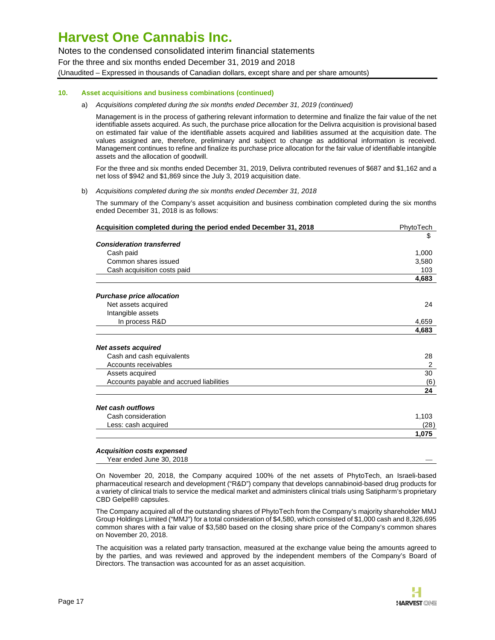Notes to the condensed consolidated interim financial statements For the three and six months ended December 31, 2019 and 2018 (Unaudited – Expressed in thousands of Canadian dollars, except share and per share amounts)

### **10. Asset acquisitions and business combinations (continued)**

#### a) Acquisitions completed during the six months ended December 31, 2019 (continued)

Management is in the process of gathering relevant information to determine and finalize the fair value of the net identifiable assets acquired. As such, the purchase price allocation for the Delivra acquisition is provisional based on estimated fair value of the identifiable assets acquired and liabilities assumed at the acquisition date. The values assigned are, therefore, preliminary and subject to change as additional information is received. Management continues to refine and finalize its purchase price allocation for the fair value of identifiable intangible assets and the allocation of goodwill.

For the three and six months ended December 31, 2019, Delivra contributed revenues of \$687 and \$1,162 and a net loss of \$942 and \$1,869 since the July 3, 2019 acquisition date.

#### b) Acquisitions completed during the six months ended December 31, 2018

The summary of the Company's asset acquisition and business combination completed during the six months ended December 31, 2018 is as follows:

| Acquisition completed during the period ended December 31, 2018 | PhytoTech |
|-----------------------------------------------------------------|-----------|
|                                                                 | \$        |
| <b>Consideration transferred</b>                                |           |
| Cash paid                                                       | 1,000     |
| Common shares issued                                            | 3,580     |
| Cash acquisition costs paid                                     | 103       |
|                                                                 | 4,683     |
| <b>Purchase price allocation</b>                                |           |
| Net assets acquired                                             | 24        |
| Intangible assets                                               |           |
| In process R&D                                                  | 4,659     |
|                                                                 | 4,683     |
| <b>Net assets acquired</b>                                      |           |
| Cash and cash equivalents                                       | 28        |
| Accounts receivables                                            | 2         |
| Assets acquired                                                 | 30        |
| Accounts payable and accrued liabilities                        | (6)       |
|                                                                 | 24        |
| <b>Net cash outflows</b>                                        |           |
| Cash consideration                                              | 1,103     |
| Less: cash acquired                                             | (28)      |
|                                                                 | 1,075     |

**Acquisition costs expensed** Year ended June 30, 2018

On November 20, 2018, the Company acquired 100% of the net assets of PhytoTech, an Israeli-based pharmaceutical research and development ("R&D") company that develops cannabinoid-based drug products for a variety of clinical trials to service the medical market and administers clinical trials using Satipharm's proprietary CBD Gelpell® capsules.

The Company acquired all of the outstanding shares of PhytoTech from the Company's majority shareholder MMJ Group Holdings Limited ("MMJ") for a total consideration of \$4,580, which consisted of \$1,000 cash and 8,326,695 common shares with a fair value of \$3,580 based on the closing share price of the Company's common shares on November 20, 2018.

The acquisition was a related party transaction, measured at the exchange value being the amounts agreed to by the parties, and was reviewed and approved by the independent members of the Company's Board of Directors. The transaction was accounted for as an asset acquisition.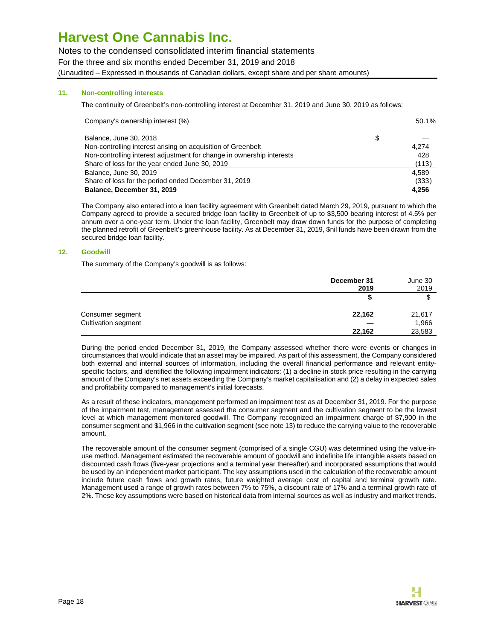Notes to the condensed consolidated interim financial statements For the three and six months ended December 31, 2019 and 2018 (Unaudited – Expressed in thousands of Canadian dollars, except share and per share amounts)

### **11. Non-controlling interests**

The continuity of Greenbelt's non-controlling interest at December 31, 2019 and June 30, 2019 as follows:

| Company's ownership interest (%)                                      | 50.1% |
|-----------------------------------------------------------------------|-------|
| Balance, June 30, 2018                                                | \$    |
| Non-controlling interest arising on acquisition of Greenbelt          | 4.274 |
| Non-controlling interest adjustment for change in ownership interests | 428   |
| Share of loss for the year ended June 30, 2019                        | (113) |
| Balance, June 30, 2019                                                | 4.589 |
| Share of loss for the period ended December 31, 2019                  | (333) |
| Balance, December 31, 2019                                            | 4.256 |

The Company also entered into a loan facility agreement with Greenbelt dated March 29, 2019, pursuant to which the Company agreed to provide a secured bridge loan facility to Greenbelt of up to \$3,500 bearing interest of 4.5% per annum over a one-year term. Under the loan facility, Greenbelt may draw down funds for the purpose of completing the planned retrofit of Greenbelt's greenhouse facility. As at December 31, 2019, \$nil funds have been drawn from the secured bridge loan facility.

#### **12. Goodwill**

The summary of the Company's goodwill is as follows:

|                     | December 31 | June 30 |  |
|---------------------|-------------|---------|--|
|                     | 2019        | 2019    |  |
|                     |             |         |  |
| Consumer segment    | 22,162      | 21,617  |  |
| Cultivation segment |             | 1,966   |  |
|                     | 22,162      | 23,583  |  |

During the period ended December 31, 2019, the Company assessed whether there were events or changes in circumstances that would indicate that an asset may be impaired. As part of this assessment, the Company considered both external and internal sources of information, including the overall financial performance and relevant entityspecific factors, and identified the following impairment indicators: (1) a decline in stock price resulting in the carrying amount of the Company's net assets exceeding the Company's market capitalisation and (2) a delay in expected sales and profitability compared to management's initial forecasts.

As a result of these indicators, management performed an impairment test as at December 31, 2019. For the purpose of the impairment test, management assessed the consumer segment and the cultivation segment to be the lowest level at which management monitored goodwill. The Company recognized an impairment charge of \$7,900 in the consumer segment and \$1,966 in the cultivation segment (see note 13) to reduce the carrying value to the recoverable amount.

The recoverable amount of the consumer segment (comprised of a single CGU) was determined using the value-inuse method. Management estimated the recoverable amount of goodwill and indefinite life intangible assets based on discounted cash flows (five-year projections and a terminal year thereafter) and incorporated assumptions that would be used by an independent market participant. The key assumptions used in the calculation of the recoverable amount include future cash flows and growth rates, future weighted average cost of capital and terminal growth rate. Management used a range of growth rates between 7% to 75%, a discount rate of 17% and a terminal growth rate of 2%. These key assumptions were based on historical data from internal sources as well as industry and market trends.

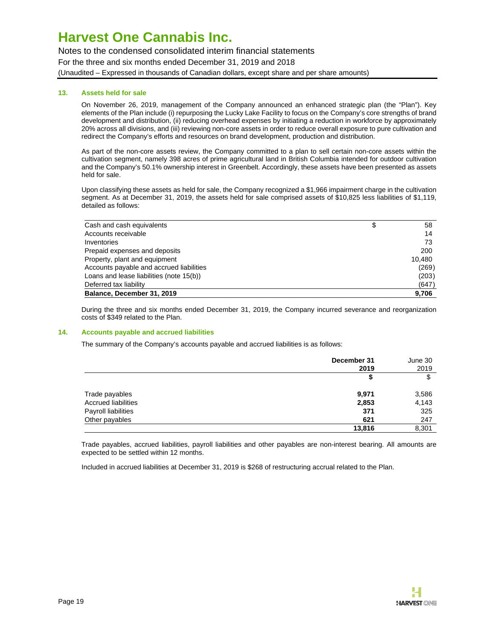Notes to the condensed consolidated interim financial statements For the three and six months ended December 31, 2019 and 2018 (Unaudited – Expressed in thousands of Canadian dollars, except share and per share amounts)

### **13. Assets held for sale**

On November 26, 2019, management of the Company announced an enhanced strategic plan (the "Plan"). Key elements of the Plan include (i) repurposing the Lucky Lake Facility to focus on the Company's core strengths of brand development and distribution, (ii) reducing overhead expenses by initiating a reduction in workforce by approximately 20% across all divisions, and (iii) reviewing non-core assets in order to reduce overall exposure to pure cultivation and redirect the Company's efforts and resources on brand development, production and distribution.

As part of the non-core assets review, the Company committed to a plan to sell certain non-core assets within the cultivation segment, namely 398 acres of prime agricultural land in British Columbia intended for outdoor cultivation and the Company's 50.1% ownership interest in Greenbelt. Accordingly, these assets have been presented as assets held for sale.

Upon classifying these assets as held for sale, the Company recognized a \$1,966 impairment charge in the cultivation segment. As at December 31, 2019, the assets held for sale comprised assets of \$10,825 less liabilities of \$1,119, detailed as follows:

| Cash and cash equivalents                | \$<br>58 |
|------------------------------------------|----------|
| Accounts receivable                      | 14       |
| Inventories                              | 73       |
| Prepaid expenses and deposits            | 200      |
| Property, plant and equipment            | 10.480   |
| Accounts payable and accrued liabilities | (269)    |
| Loans and lease liabilities (note 15(b)) | (203)    |
| Deferred tax liability                   | (647)    |
| Balance, December 31, 2019               | 9,706    |

During the three and six months ended December 31, 2019, the Company incurred severance and reorganization costs of \$349 related to the Plan.

#### **14. Accounts payable and accrued liabilities**

The summary of the Company's accounts payable and accrued liabilities is as follows:

|                            | December 31<br>2019 | June 30<br>2019 |
|----------------------------|---------------------|-----------------|
|                            | \$                  | \$              |
| Trade payables             | 9,971               | 3,586           |
| <b>Accrued liabilities</b> | 2,853               | 4,143           |
| Payroll liabilities        | 371                 | 325             |
| Other payables             | 621                 | 247             |
|                            | 13,816              | 8,301           |

Trade payables, accrued liabilities, payroll liabilities and other payables are non-interest bearing. All amounts are expected to be settled within 12 months.

Included in accrued liabilities at December 31, 2019 is \$268 of restructuring accrual related to the Plan.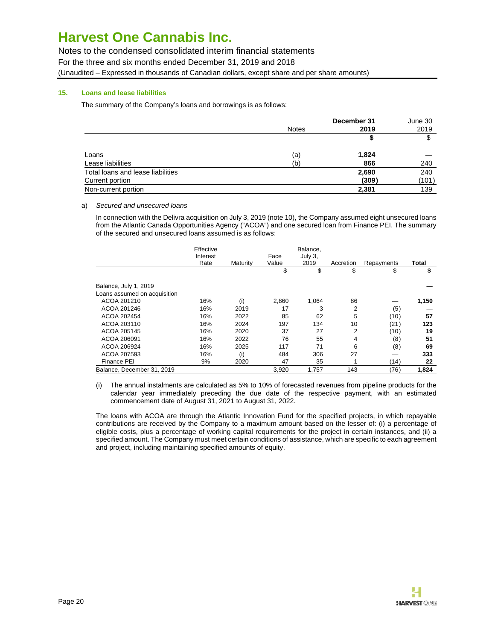Notes to the condensed consolidated interim financial statements For the three and six months ended December 31, 2019 and 2018 (Unaudited – Expressed in thousands of Canadian dollars, except share and per share amounts)

### **15. Loans and lease liabilities**

The summary of the Company's loans and borrowings is as follows:

|                                   |              | December 31 | June 30 |
|-----------------------------------|--------------|-------------|---------|
|                                   | <b>Notes</b> | 2019        | 2019    |
|                                   |              | ъ           | \$      |
| Loans                             | (a)          | 1,824       |         |
| Lease liabilities                 | (b)          | 866         | 240     |
| Total loans and lease liabilities |              | 2,690       | 240     |
| Current portion                   |              | (309)       | (101)   |
| Non-current portion               |              | 2,381       | 139     |

### a) Secured and unsecured loans

In connection with the Delivra acquisition on July 3, 2019 (note 10), the Company assumed eight unsecured loans from the Atlantic Canada Opportunities Agency ("ACOA") and one secured loan from Finance PEI. The summary of the secured and unsecured loans assumed is as follows:

|                              | Effective<br>Interest |          | Face  | Balance,<br>July 3. |           |            |       |
|------------------------------|-----------------------|----------|-------|---------------------|-----------|------------|-------|
|                              | Rate                  | Maturity | Value | 2019                | Accretion | Repayments | Total |
|                              |                       |          | \$    | \$                  | \$        | \$         | \$    |
| Balance, July 1, 2019        |                       |          |       |                     |           |            |       |
| Loans assumed on acquisition |                       |          |       |                     |           |            |       |
| ACOA 201210                  | 16%                   | (i)      | 2,860 | 1,064               | 86        |            | 1,150 |
| ACOA 201246                  | 16%                   | 2019     | 17    | 3                   | 2         | (5)        |       |
| ACOA 202454                  | 16%                   | 2022     | 85    | 62                  | 5         | (10)       | 57    |
| ACOA 203110                  | 16%                   | 2024     | 197   | 134                 | 10        | (21)       | 123   |
| ACOA 205145                  | 16%                   | 2020     | 37    | 27                  | 2         | (10)       | 19    |
| ACOA 206091                  | 16%                   | 2022     | 76    | 55                  | 4         | (8)        | 51    |
| ACOA 206924                  | 16%                   | 2025     | 117   | 71                  | 6         | (8)        | 69    |
| ACOA 207593                  | 16%                   | (i)      | 484   | 306                 | 27        |            | 333   |
| Finance PEI                  | 9%                    | 2020     | 47    | 35                  |           | (14)       | 22    |
| Balance, December 31, 2019   |                       |          | 3.920 | 1.757               | 143       | (76)       | 1.824 |

(i) The annual instalments are calculated as 5% to 10% of forecasted revenues from pipeline products for the calendar year immediately preceding the due date of the respective payment, with an estimated commencement date of August 31, 2021 to August 31, 2022.

The loans with ACOA are through the Atlantic Innovation Fund for the specified projects, in which repayable contributions are received by the Company to a maximum amount based on the lesser of: (i) a percentage of eligible costs, plus a percentage of working capital requirements for the project in certain instances, and (ii) a specified amount. The Company must meet certain conditions of assistance, which are specific to each agreement and project, including maintaining specified amounts of equity.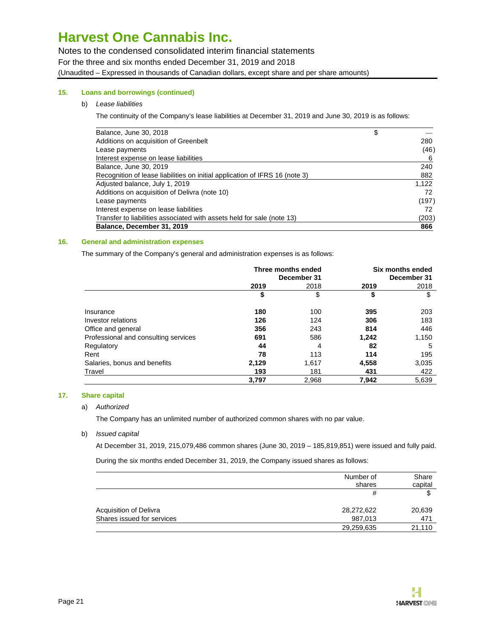Notes to the condensed consolidated interim financial statements For the three and six months ended December 31, 2019 and 2018 (Unaudited – Expressed in thousands of Canadian dollars, except share and per share amounts)

### **15. Loans and borrowings (continued)**

### b) Lease liabilities

The continuity of the Company's lease liabilities at December 31, 2019 and June 30, 2019 is as follows:

| Balance, June 30, 2018                                                      | \$    |
|-----------------------------------------------------------------------------|-------|
| Additions on acquisition of Greenbelt                                       | 280   |
| Lease payments                                                              | (46)  |
| Interest expense on lease liabilities                                       | 6     |
| Balance, June 30, 2019                                                      | 240   |
| Recognition of lease liabilities on initial application of IFRS 16 (note 3) | 882   |
| Adjusted balance, July 1, 2019                                              | 1.122 |
| Additions on acquisition of Delivra (note 10)                               | 72    |
| Lease payments                                                              | (197) |
| Interest expense on lease liabilities                                       | 72    |
| Transfer to liabilities associated with assets held for sale (note 13)      | (203) |
| Balance, December 31, 2019                                                  | 866   |

#### **16. General and administration expenses**

The summary of the Company's general and administration expenses is as follows:

|                                      |       | Three months ended<br>December 31 | Six months ended<br>December 31 |       |  |
|--------------------------------------|-------|-----------------------------------|---------------------------------|-------|--|
|                                      | 2019  | 2018                              | 2019                            | 2018  |  |
|                                      | \$    | \$                                | \$                              | \$    |  |
| Insurance                            | 180   | 100                               | 395                             | 203   |  |
| Investor relations                   | 126   | 124                               | 306                             | 183   |  |
| Office and general                   | 356   | 243                               | 814                             | 446   |  |
| Professional and consulting services | 691   | 586                               | 1,242                           | 1,150 |  |
| Regulatory                           | 44    | 4                                 | 82                              | 5     |  |
| Rent                                 | 78    | 113                               | 114                             | 195   |  |
| Salaries, bonus and benefits         | 2,129 | 1,617                             | 4,558                           | 3,035 |  |
| Travel                               | 193   | 181                               | 431                             | 422   |  |
|                                      | 3,797 | 2,968                             | 7.942                           | 5,639 |  |

### **17. Share capital**

#### a) Authorized

The Company has an unlimited number of authorized common shares with no par value.

b) Issued capital

At December 31, 2019, 215,079,486 common shares (June 30, 2019 – 185,819,851) were issued and fully paid.

During the six months ended December 31, 2019, the Company issued shares as follows:

|                            | Number of  | Share   |
|----------------------------|------------|---------|
|                            | shares     | capital |
|                            | #          | J       |
| Acquisition of Delivra     | 28,272,622 | 20,639  |
| Shares issued for services | 987.013    | 471     |
|                            | 29,259,635 | 21.110  |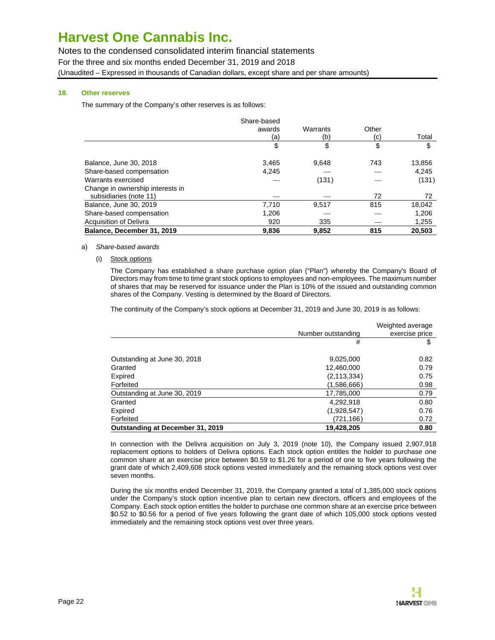Notes to the condensed consolidated interim financial statements For the three and six months ended December 31, 2019 and 2018 (Unaudited – Expressed in thousands of Canadian dollars, except share and per share amounts)

### **18. Other reserves**

The summary of the Company's other reserves is as follows:

|                                  | Share-based |          |       |        |
|----------------------------------|-------------|----------|-------|--------|
|                                  | awards      | Warrants | Other |        |
|                                  | (a)         | (b)      | (c)   | Total  |
|                                  | \$          | \$       | \$    | \$     |
| Balance, June 30, 2018           | 3,465       | 9.648    | 743   | 13,856 |
| Share-based compensation         | 4,245       |          |       | 4,245  |
| Warrants exercised               |             | (131)    |       | (131)  |
| Change in ownership interests in |             |          |       |        |
| subsidiaries (note 11)           |             |          | 72    | 72     |
| Balance, June 30, 2019           | 7,710       | 9,517    | 815   | 18,042 |
| Share-based compensation         | 1,206       |          |       | 1,206  |
| <b>Acquisition of Delivra</b>    | 920         | 335      |       | 1,255  |
| Balance, December 31, 2019       | 9,836       | 9.852    | 815   | 20,503 |

#### a) Share-based awards

(i) Stock options

The Company has established a share purchase option plan ("Plan") whereby the Company's Board of Directors may from time to time grant stock options to employees and non-employees. The maximum number of shares that may be reserved for issuance under the Plan is 10% of the issued and outstanding common shares of the Company. Vesting is determined by the Board of Directors.

The continuity of the Company's stock options at December 31, 2019 and June 30, 2019 is as follows:

|                                         | Number outstanding | Weighted average<br>exercise price |
|-----------------------------------------|--------------------|------------------------------------|
|                                         | #                  | \$                                 |
| Outstanding at June 30, 2018            | 9,025,000          | 0.82                               |
| Granted                                 | 12,460,000         | 0.79                               |
| Expired                                 | (2, 113, 334)      | 0.75                               |
| Forfeited                               | (1,586,666)        | 0.98                               |
| Outstanding at June 30, 2019            | 17,785,000         | 0.79                               |
| Granted                                 | 4,292,918          | 0.80                               |
| Expired                                 | (1,928,547)        | 0.76                               |
| Forfeited                               | (721,166)          | 0.72                               |
| <b>Outstanding at December 31, 2019</b> | 19,428,205         | 0.80                               |

In connection with the Delivra acquisition on July 3, 2019 (note 10), the Company issued 2,907,918 replacement options to holders of Delivra options. Each stock option entitles the holder to purchase one common share at an exercise price between \$0.59 to \$1.26 for a period of one to five years following the grant date of which 2,409,608 stock options vested immediately and the remaining stock options vest over seven months.

During the six months ended December 31, 2019, the Company granted a total of 1,385,000 stock options under the Company's stock option incentive plan to certain new directors, officers and employees of the Company. Each stock option entitles the holder to purchase one common share at an exercise price between \$0.52 to \$0.56 for a period of five years following the grant date of which 105,000 stock options vested immediately and the remaining stock options vest over three years.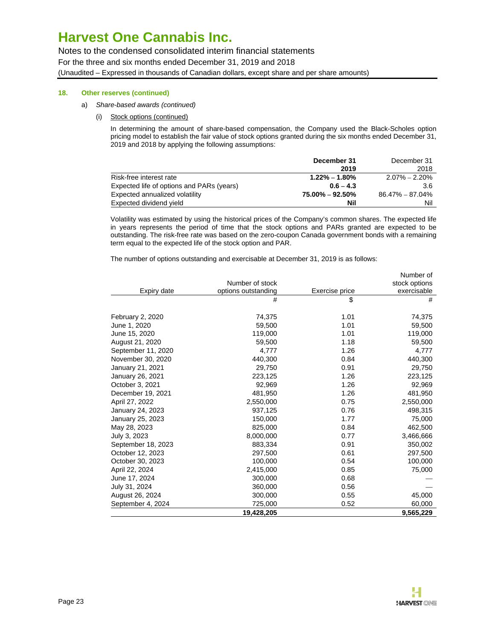Notes to the condensed consolidated interim financial statements For the three and six months ended December 31, 2019 and 2018 (Unaudited – Expressed in thousands of Canadian dollars, except share and per share amounts)

### **18. Other reserves (continued)**

- a) Share-based awards (continued)
	- (i) Stock options (continued)

In determining the amount of share-based compensation, the Company used the Black-Scholes option pricing model to establish the fair value of stock options granted during the six months ended December 31, 2019 and 2018 by applying the following assumptions:

|                                           | December 31         | December 31       |
|-------------------------------------------|---------------------|-------------------|
|                                           | 2019                | 2018              |
| Risk-free interest rate                   | $1.22\% - 1.80\%$   | $2.07\% - 2.20\%$ |
| Expected life of options and PARs (years) | $0.6 - 4.3$         | 3.6               |
| Expected annualized volatility            | $75.00\% - 92.50\%$ | 86.47% – 87.04%   |
| Expected dividend yield                   | Nil                 | Nil               |

Volatility was estimated by using the historical prices of the Company's common shares. The expected life in years represents the period of time that the stock options and PARs granted are expected to be outstanding. The risk-free rate was based on the zero-coupon Canada government bonds with a remaining term equal to the expected life of the stock option and PAR.

The number of options outstanding and exercisable at December 31, 2019 is as follows:

|                    |                     |                | Number of     |
|--------------------|---------------------|----------------|---------------|
|                    | Number of stock     |                | stock options |
| Expiry date        | options outstanding | Exercise price | exercisable   |
|                    | #                   | \$             | #             |
| February 2, 2020   | 74,375              | 1.01           | 74,375        |
| June 1, 2020       | 59,500              | 1.01           | 59,500        |
| June 15, 2020      | 119,000             | 1.01           | 119,000       |
| August 21, 2020    | 59,500              | 1.18           | 59,500        |
| September 11, 2020 | 4,777               | 1.26           | 4,777         |
| November 30, 2020  | 440,300             | 0.84           | 440,300       |
| January 21, 2021   | 29,750              | 0.91           | 29,750        |
| January 26, 2021   | 223,125             | 1.26           | 223,125       |
| October 3, 2021    | 92,969              | 1.26           | 92,969        |
| December 19, 2021  | 481,950             | 1.26           | 481,950       |
| April 27, 2022     | 2,550,000           | 0.75           | 2,550,000     |
| January 24, 2023   | 937,125             | 0.76           | 498,315       |
| January 25, 2023   | 150,000             | 1.77           | 75,000        |
| May 28, 2023       | 825,000             | 0.84           | 462,500       |
| July 3, 2023       | 8,000,000           | 0.77           | 3,466,666     |
| September 18, 2023 | 883,334             | 0.91           | 350,002       |
| October 12, 2023   | 297,500             | 0.61           | 297,500       |
| October 30, 2023   | 100,000             | 0.54           | 100,000       |
| April 22, 2024     | 2,415,000           | 0.85           | 75,000        |
| June 17, 2024      | 300,000             | 0.68           |               |
| July 31, 2024      | 360,000             | 0.56           |               |
| August 26, 2024    | 300,000             | 0.55           | 45,000        |
| September 4, 2024  | 725,000             | 0.52           | 60,000        |
|                    | 19,428,205          |                | 9,565,229     |

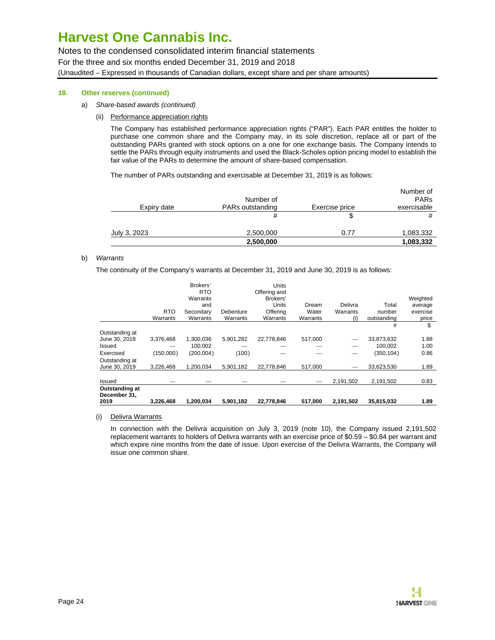Notes to the condensed consolidated interim financial statements For the three and six months ended December 31, 2019 and 2018 (Unaudited – Expressed in thousands of Canadian dollars, except share and per share amounts)

### **18. Other reserves (continued)**

- a) Share-based awards (continued)
	- (ii) Performance appreciation rights

The Company has established performance appreciation rights ("PAR"). Each PAR entitles the holder to purchase one common share and the Company may, in its sole discretion, replace all or part of the outstanding PARs granted with stock options on a one for one exchange basis. The Company intends to settle the PARs through equity instruments and used the Black-Scholes option pricing model to establish the fair value of the PARs to determine the amount of share-based compensation.

The number of PARs outstanding and exercisable at December 31, 2019 is as follows:

|              | 2,500,000                     |                | 1,083,332                               |
|--------------|-------------------------------|----------------|-----------------------------------------|
| July 3, 2023 | 2,500,000                     | 0.77           | 1,083,332                               |
|              | #                             |                | #                                       |
| Expiry date  | Number of<br>PARs outstanding | Exercise price | Number of<br><b>PARs</b><br>exercisable |

#### b) Warrants

The continuity of the Company's warrants at December 31, 2019 and June 30, 2019 is as follows:

| 2019                            | 3.226.468              | 1.200.034                                                          | 5,901,182             | 22.778.846                                                                | 517.000                    | 2.191.502                  | 35,815,032                     | 1.89                                     |
|---------------------------------|------------------------|--------------------------------------------------------------------|-----------------------|---------------------------------------------------------------------------|----------------------------|----------------------------|--------------------------------|------------------------------------------|
| Outstanding at<br>December 31,  |                        |                                                                    |                       |                                                                           |                            |                            |                                |                                          |
| Issued                          |                        |                                                                    |                       |                                                                           |                            | 2,191,502                  | 2,191,502                      | 0.83                                     |
| Outstanding at<br>June 30, 2019 | 3.226.468              | 1.200.034                                                          | 5.901.182             | 22.778.846                                                                | 517.000                    | -                          | 33,623,530                     | 1.89                                     |
| Exercised                       | (150,000)              | (200, 004)                                                         | (100)                 |                                                                           |                            |                            | (350, 104)                     | 0.86                                     |
| Issued                          |                        | 100.002                                                            |                       |                                                                           |                            |                            | 100.002                        | 1.00                                     |
| Outstanding at<br>June 30, 2018 | 3,376,468              | 1,300,036                                                          | 5,901,282             | 22,778,846                                                                | 517,000                    | _                          | 33,873,632                     | 1.88                                     |
|                                 |                        |                                                                    |                       |                                                                           |                            |                            | #                              | \$                                       |
|                                 | <b>RTO</b><br>Warrants | Brokers'<br><b>RTO</b><br>Warrants<br>and<br>Secondarv<br>Warrants | Debenture<br>Warrants | Units<br>Offering and<br>Brokers'<br><b>Units</b><br>Offering<br>Warrants | Dream<br>Water<br>Warrants | Delivra<br>Warrants<br>(i) | Total<br>number<br>outstanding | Weighted<br>average<br>exercise<br>price |

(i) Delivra Warrants

In connection with the Delivra acquisition on July 3, 2019 (note 10), the Company issued 2,191,502 replacement warrants to holders of Delivra warrants with an exercise price of \$0.59 – \$0.84 per warrant and which expire nine months from the date of issue. Upon exercise of the Delivra Warrants, the Company will issue one common share.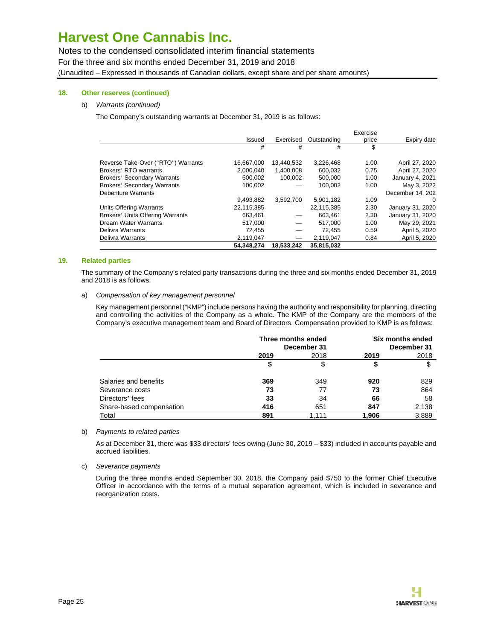Notes to the condensed consolidated interim financial statements For the three and six months ended December 31, 2019 and 2018 (Unaudited – Expressed in thousands of Canadian dollars, except share and per share amounts)

### **18. Other reserves (continued)**

#### b) Warrants (continued)

The Company's outstanding warrants at December 31, 2019 is as follows:

|                                         |            |            |             | Exercise |                  |
|-----------------------------------------|------------|------------|-------------|----------|------------------|
|                                         | Issued     | Exercised  | Outstanding | price    | Expiry date      |
|                                         | #          | #          | #           | \$       |                  |
| Reverse Take-Over ("RTO") Warrants      | 16,667,000 | 13.440.532 | 3,226,468   | 1.00     | April 27, 2020   |
| Brokers' RTO warrants                   | 2,000,040  | 1,400,008  | 600,032     | 0.75     | April 27, 2020   |
| <b>Brokers' Secondary Warrants</b>      | 600,002    | 100,002    | 500,000     | 1.00     | January 4, 2021  |
| <b>Brokers' Secondary Warrants</b>      | 100.002    |            | 100,002     | 1.00     | May 3, 2022      |
| <b>Debenture Warrants</b>               |            |            |             |          | December 14, 202 |
|                                         | 9,493,882  | 3,592,700  | 5,901,182   | 1.09     | 0                |
| Units Offering Warrants                 | 22,115,385 |            | 22,115,385  | 2.30     | January 31, 2020 |
| <b>Brokers' Units Offering Warrants</b> | 663,461    |            | 663.461     | 2.30     | January 31, 2020 |
| Dream Water Warrants                    | 517,000    |            | 517.000     | 1.00     | May 29, 2021     |
| Delivra Warrants                        | 72,455     |            | 72,455      | 0.59     | April 5, 2020    |
| Delivra Warrants                        | 2,119,047  |            | 2,119,047   | 0.84     | April 5, 2020    |
|                                         | 54.348.274 | 18.533.242 | 35,815,032  |          |                  |

#### **19. Related parties**

The summary of the Company's related party transactions during the three and six months ended December 31, 2019 and 2018 is as follows:

#### a) Compensation of key management personnel

Key management personnel ("KMP") include persons having the authority and responsibility for planning, directing and controlling the activities of the Company as a whole. The KMP of the Company are the members of the Company's executive management team and Board of Directors. Compensation provided to KMP is as follows:

|                          | Three months ended<br>December 31 |       | Six months ended<br>December 31 |       |
|--------------------------|-----------------------------------|-------|---------------------------------|-------|
|                          | 2019                              | 2018  | 2019                            | 2018  |
|                          |                                   | \$    |                                 | \$    |
| Salaries and benefits    | 369                               | 349   | 920                             | 829   |
| Severance costs          | 73                                | 77    | 73                              | 864   |
| Directors' fees          | 33                                | 34    | 66                              | 58    |
| Share-based compensation | 416                               | 651   | 847                             | 2,138 |
| Total                    | 891                               | 1.111 | 1,906                           | 3,889 |

#### b) Payments to related parties

As at December 31, there was \$33 directors' fees owing (June 30, 2019 – \$33) included in accounts payable and accrued liabilities.

c) Severance payments

During the three months ended September 30, 2018, the Company paid \$750 to the former Chief Executive Officer in accordance with the terms of a mutual separation agreement, which is included in severance and reorganization costs.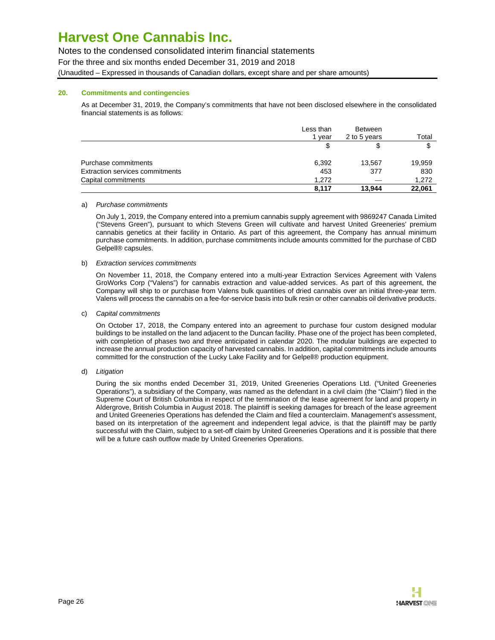Notes to the condensed consolidated interim financial statements

For the three and six months ended December 31, 2019 and 2018

(Unaudited – Expressed in thousands of Canadian dollars, except share and per share amounts)

### **20. Commitments and contingencies**

As at December 31, 2019, the Company's commitments that have not been disclosed elsewhere in the consolidated financial statements is as follows:

|                                 | Less than | <b>Between</b> |        |
|---------------------------------|-----------|----------------|--------|
|                                 | 1 vear    | 2 to 5 years   | Total  |
|                                 |           | S              | \$     |
| Purchase commitments            | 6,392     | 13,567         | 19,959 |
| Extraction services commitments | 453       | 377            | 830    |
| Capital commitments             | 1.272     | ___            | 1,272  |
|                                 | 8.117     | 13.944         | 22.061 |

### a) Purchase commitments

On July 1, 2019, the Company entered into a premium cannabis supply agreement with 9869247 Canada Limited ("Stevens Green"), pursuant to which Stevens Green will cultivate and harvest United Greeneries' premium cannabis genetics at their facility in Ontario. As part of this agreement, the Company has annual minimum purchase commitments. In addition, purchase commitments include amounts committed for the purchase of CBD Gelpell® capsules.

### b) Extraction services commitments

On November 11, 2018, the Company entered into a multi-year Extraction Services Agreement with Valens GroWorks Corp ("Valens") for cannabis extraction and value-added services. As part of this agreement, the Company will ship to or purchase from Valens bulk quantities of dried cannabis over an initial three-year term. Valens will process the cannabis on a fee-for-service basis into bulk resin or other cannabis oil derivative products.

### c) Capital commitments

On October 17, 2018, the Company entered into an agreement to purchase four custom designed modular buildings to be installed on the land adjacent to the Duncan facility. Phase one of the project has been completed, with completion of phases two and three anticipated in calendar 2020. The modular buildings are expected to increase the annual production capacity of harvested cannabis. In addition, capital commitments include amounts committed for the construction of the Lucky Lake Facility and for Gelpell® production equipment.

### d) Litigation

During the six months ended December 31, 2019, United Greeneries Operations Ltd. ("United Greeneries Operations"), a subsidiary of the Company, was named as the defendant in a civil claim (the "Claim") filed in the Supreme Court of British Columbia in respect of the termination of the lease agreement for land and property in Aldergrove, British Columbia in August 2018. The plaintiff is seeking damages for breach of the lease agreement and United Greeneries Operations has defended the Claim and filed a counterclaim. Management's assessment, based on its interpretation of the agreement and independent legal advice, is that the plaintiff may be partly successful with the Claim, subject to a set-off claim by United Greeneries Operations and it is possible that there will be a future cash outflow made by United Greeneries Operations.

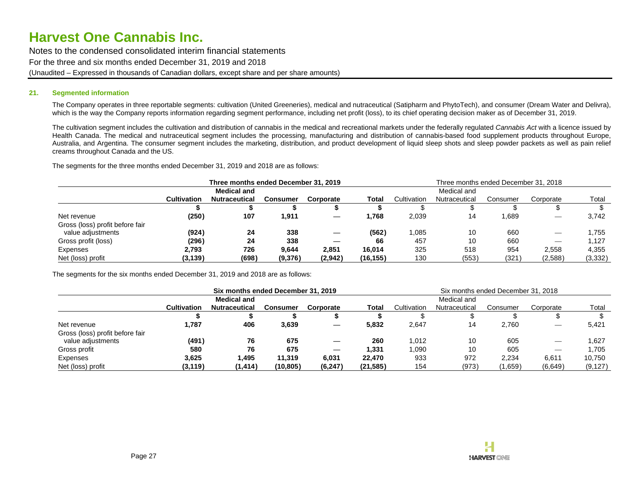Notes to the condensed consolidated interim financial statements For the three and six months ended December 31, 2019 and 2018 (Unaudited – Expressed in thousands of Canadian dollars, except share and per share amounts)

### **21. Segmented information**

The Company operates in three reportable segments: cultivation (United Greeneries), medical and nutraceutical (Satipharm and PhytoTech), and consumer (Dream Water and Delivra), which is the way the Company reports information regarding segment performance, including net profit (loss), to its chief operating decision maker as of December 31, 2019.

The cultivation segment includes the cultivation and distribution of cannabis in the medical and recreational markets under the federally regulated Cannabis Act with a licence issued by Health Canada. The medical and nutraceutical segment includes the processing, manufacturing and distribution of cannabis-based food supplement products throughout Europe, Australia, and Argentina. The consumer segment includes the marketing, distribution, and product development of liquid sleep shots and sleep powder packets as well as pain relief creams throughout Canada and the US.

The segments for the three months ended December 31, 2019 and 2018 are as follows:

|                                 |                    | Three months ended December 31, 2019 |                 |           |           | Three months ended December 31, 2018 |               |          |                                |          |
|---------------------------------|--------------------|--------------------------------------|-----------------|-----------|-----------|--------------------------------------|---------------|----------|--------------------------------|----------|
|                                 |                    | <b>Medical and</b>                   |                 |           |           |                                      | Medical and   |          |                                |          |
|                                 | <b>Cultivation</b> | <b>Nutraceutical</b>                 | <b>Consumer</b> | Corporate | Total     | Cultivation                          | Nutraceutical | Consumer | Corporate                      | Total    |
|                                 |                    |                                      |                 |           |           |                                      |               |          |                                |          |
| Net revenue                     | (250)              | 107                                  | 911. ا          |           | l.768     | 2,039                                | 14            | .689     |                                | 3.742    |
| Gross (loss) profit before fair |                    |                                      |                 |           |           |                                      |               |          |                                |          |
| value adjustments               | (924)              | 24                                   | 338             |           | (562)     | 1,085                                | 10            | 660      |                                | 1.755    |
| Gross profit (loss)             | (296)              | 24                                   | 338             |           | 66        | 457                                  | 10            | 660      | $\overbrace{\hspace{25mm}}^{}$ | 1.127    |
| Expenses                        | 2.793              | 726                                  | 9.644           | 2,851     | 16.014    | 325                                  | 518           | 954      | 2,558                          | 4.355    |
| Net (loss) profit               | (3, 139)           | (698)                                | (9,376)         | (2,942)   | (16, 155) | 130                                  | (553)         | (321)    | (2,588)                        | (3, 332) |

The segments for the six months ended December 31, 2019 and 2018 are as follows:

|                                 | Six months ended December 31, 2019 |                      |          |                          | Six months ended December 31, 2018 |             |               |          |           |          |
|---------------------------------|------------------------------------|----------------------|----------|--------------------------|------------------------------------|-------------|---------------|----------|-----------|----------|
|                                 | <b>Medical and</b>                 |                      |          |                          | Medical and                        |             |               |          |           |          |
|                                 | <b>Cultivation</b>                 | <b>Nutraceutical</b> | Consumer | Corporate                | Total                              | Cultivation | Nutraceutical | Consumer | Corporate | Total    |
|                                 |                                    |                      |          |                          |                                    |             |               |          |           |          |
| Net revenue                     | 1,787                              | 406                  | 3,639    |                          | 5,832                              | 2,647       | 14            | 2,760    |           | 5,421    |
| Gross (loss) profit before fair |                                    |                      |          |                          |                                    |             |               |          |           |          |
| value adjustments               | (491)                              | 76                   | 675      | $\overline{\phantom{m}}$ | 260                                | 1.012       | 10            | 605      |           | 1,627    |
| Gross profit                    | 580                                | 76                   | 675      | $\overline{\phantom{m}}$ | 1,331                              | 1,090       | 10            | 605      |           | 1.705    |
| Expenses                        | 3,625                              | .495                 | 11.319   | 6,031                    | 22.470                             | 933         | 972           | 2,234    | 6,611     | 10,750   |
| Net (loss) profit               | (3, 119)                           | (1, 414)             | (10,805) | (6, 247)                 | (21, 585)                          | 154         | (973)         | (1,659)  | (6,649)   | (9, 127) |